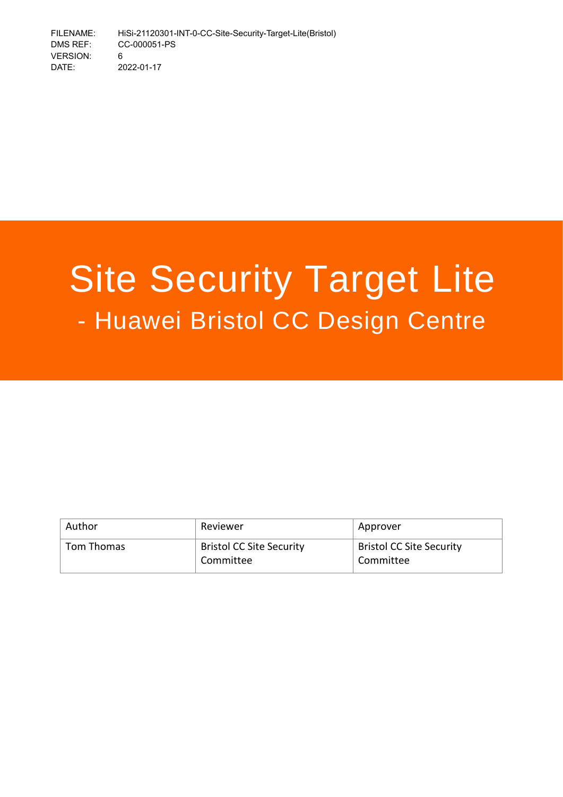# Site Security Target Lite - Huawei Bristol CC Design Centre

| Author     | Reviewer                                     | Approver                                     |
|------------|----------------------------------------------|----------------------------------------------|
| Tom Thomas | <b>Bristol CC Site Security</b><br>Committee | <b>Bristol CC Site Security</b><br>Committee |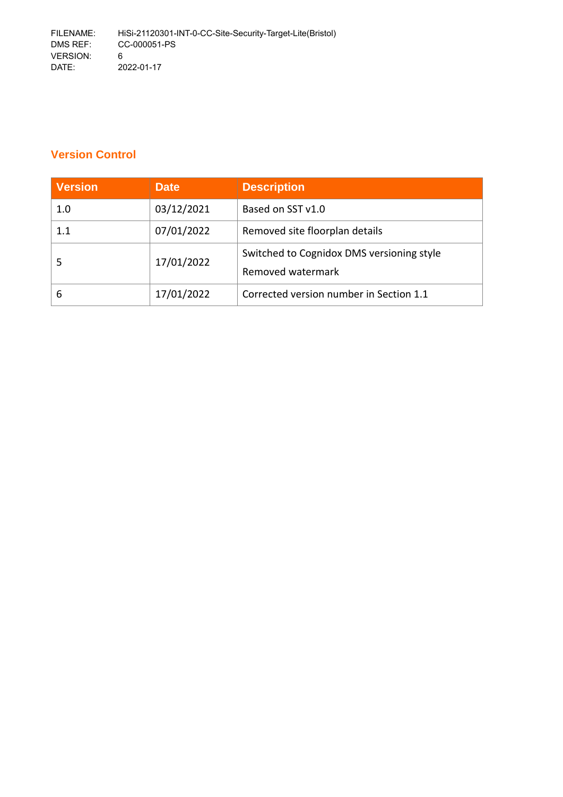# **Version Control**

| <b>Version</b> | <b>Date</b> | <b>Description</b>                        |
|----------------|-------------|-------------------------------------------|
| 1.0            | 03/12/2021  | Based on SST v1.0                         |
| 1.1            | 07/01/2022  | Removed site floorplan details            |
|                | 17/01/2022  | Switched to Cognidox DMS versioning style |
|                |             | Removed watermark                         |
| 6              | 17/01/2022  | Corrected version number in Section 1.1   |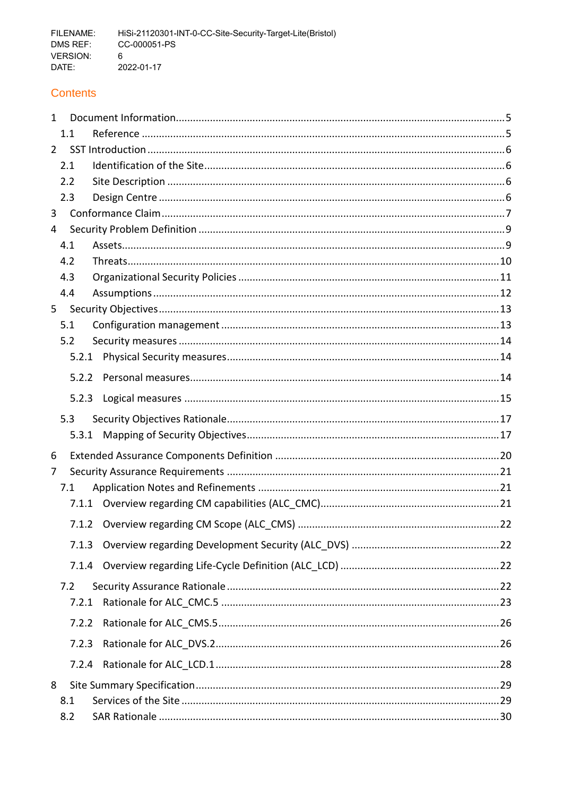# **Contents**

| $\mathbf{1}$   |       |       |  |
|----------------|-------|-------|--|
|                | 1.1   |       |  |
| $\overline{2}$ |       |       |  |
|                | 2.1   |       |  |
|                | 2.2   |       |  |
|                | 2.3   |       |  |
| $\overline{3}$ |       |       |  |
| $\overline{4}$ |       |       |  |
|                | 4.1   |       |  |
|                | 4.2   |       |  |
|                | 4.3   |       |  |
|                | 4.4   |       |  |
| $5 -$          |       |       |  |
|                | 5.1   |       |  |
|                | 5.2   |       |  |
|                |       | 5.2.1 |  |
|                |       | 5.2.2 |  |
|                |       | 5.2.3 |  |
|                | 5.3   |       |  |
|                |       | 5.3.1 |  |
| 6              |       |       |  |
| $\overline{7}$ |       |       |  |
|                | 7.1   |       |  |
|                |       |       |  |
|                |       | 7.1.2 |  |
|                | 7.1.3 |       |  |
|                |       | 7.1.4 |  |
|                | 7.2   |       |  |
|                | 7.2.1 |       |  |
|                | 7.2.2 |       |  |
|                | 7.2.3 |       |  |
|                |       | 7.2.4 |  |
| 8              |       |       |  |
|                | 8.1   |       |  |
|                | 8.2   |       |  |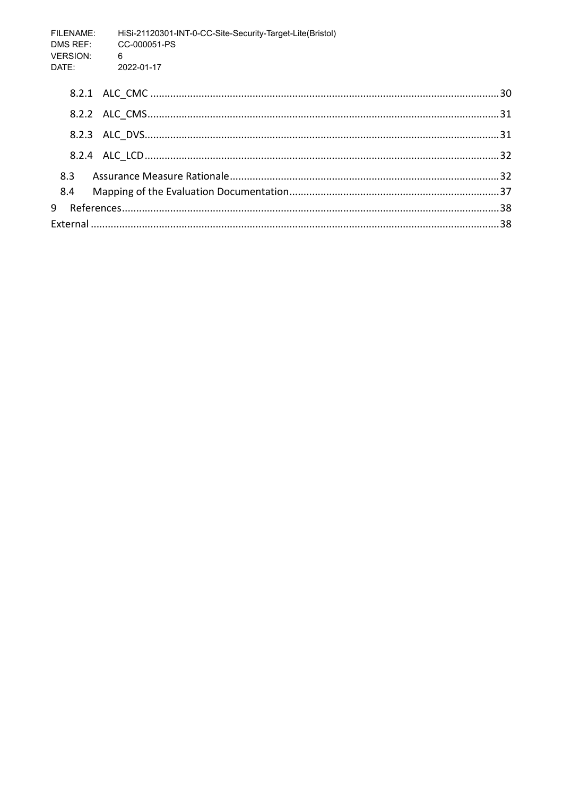| <b>FILENAME:</b><br>DMS REF:<br><b>VERSION:</b> | HiSi-21120301-INT-0-CC-Site-Security-Target-Lite(Bristol)<br>CC-000051-PS<br>$6\overline{6}$ |  |
|-------------------------------------------------|----------------------------------------------------------------------------------------------|--|
| DATF:                                           | $2022 - 01 - 17$                                                                             |  |
|                                                 |                                                                                              |  |
|                                                 |                                                                                              |  |
|                                                 |                                                                                              |  |
|                                                 |                                                                                              |  |
| 8.3                                             |                                                                                              |  |
| 8.4                                             |                                                                                              |  |
| 9                                               |                                                                                              |  |
|                                                 |                                                                                              |  |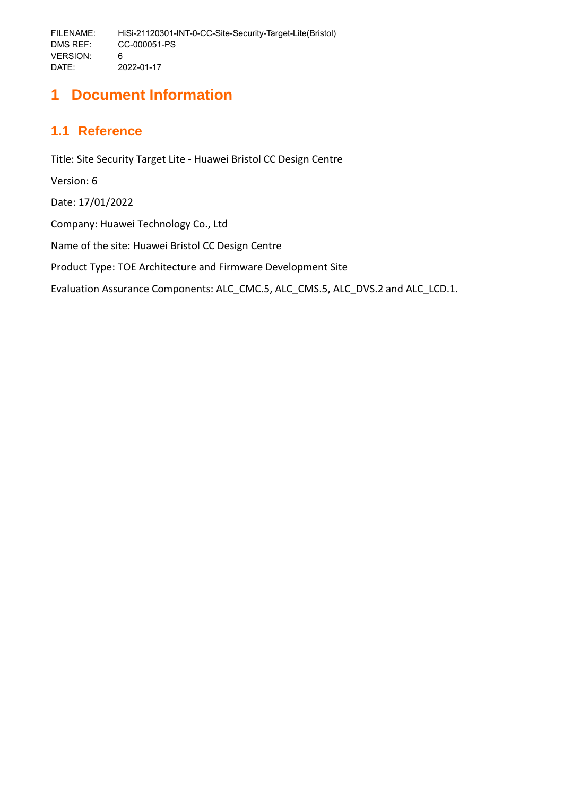# <span id="page-4-0"></span>**1 Document Information**

# <span id="page-4-1"></span>**1.1 Reference**

Title: Site Security Target Lite - Huawei Bristol CC Design Centre Version: 6 Date: 17/01/2022 Company: Huawei Technology Co., Ltd Name of the site: Huawei Bristol CC Design Centre Product Type: TOE Architecture and Firmware Development Site Evaluation Assurance Components: ALC\_CMC.5, ALC\_CMS.5, ALC\_DVS.2 and ALC\_LCD.1.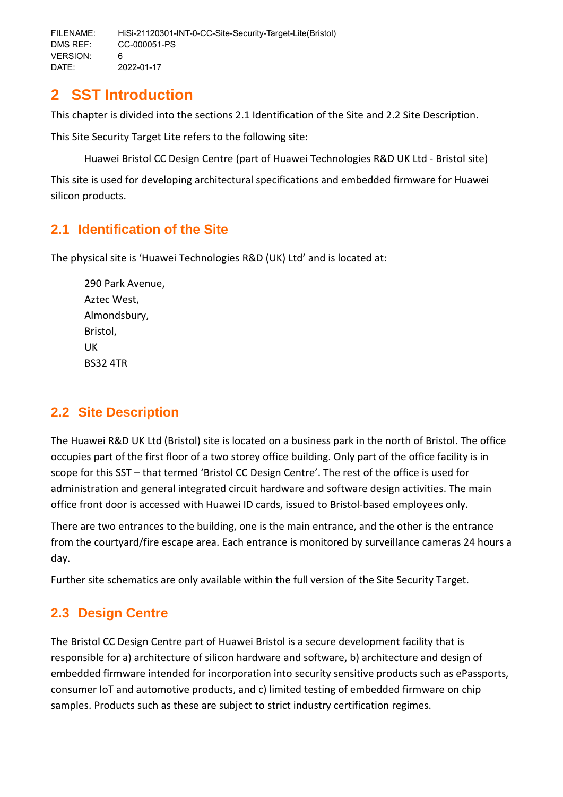# <span id="page-5-0"></span>**2 SST Introduction**

This chapter is divided into the sections [2.1](#page-5-1) [Identification of the Site](#page-5-1) and [2.2](#page-5-2) [Site Description.](#page-5-2)

This Site Security Target Lite refers to the following site:

Huawei Bristol CC Design Centre (part of Huawei Technologies R&D UK Ltd - Bristol site)

This site is used for developing architectural specifications and embedded firmware for Huawei silicon products.

# <span id="page-5-1"></span>**2.1 Identification of the Site**

The physical site is 'Huawei Technologies R&D (UK) Ltd' and is located at:

290 Park Avenue, Aztec West, Almondsbury, Bristol, UK BS32 4TR

# <span id="page-5-2"></span>**2.2 Site Description**

The Huawei R&D UK Ltd (Bristol) site is located on a business park in the north of Bristol. The office occupies part of the first floor of a two storey office building. Only part of the office facility is in scope for this SST – that termed 'Bristol CC Design Centre'. The rest of the office is used for administration and general integrated circuit hardware and software design activities. The main office front door is accessed with Huawei ID cards, issued to Bristol-based employees only.

There are two entrances to the building, one is the main entrance, and the other is the entrance from the courtyard/fire escape area. Each entrance is monitored by surveillance cameras 24 hours a day.

Further site schematics are only available within the full version of the Site Security Target.

# <span id="page-5-3"></span>**2.3 Design Centre**

The Bristol CC Design Centre part of Huawei Bristol is a secure development facility that is responsible for a) architecture of silicon hardware and software, b) architecture and design of embedded firmware intended for incorporation into security sensitive products such as ePassports, consumer IoT and automotive products, and c) limited testing of embedded firmware on chip samples. Products such as these are subject to strict industry certification regimes.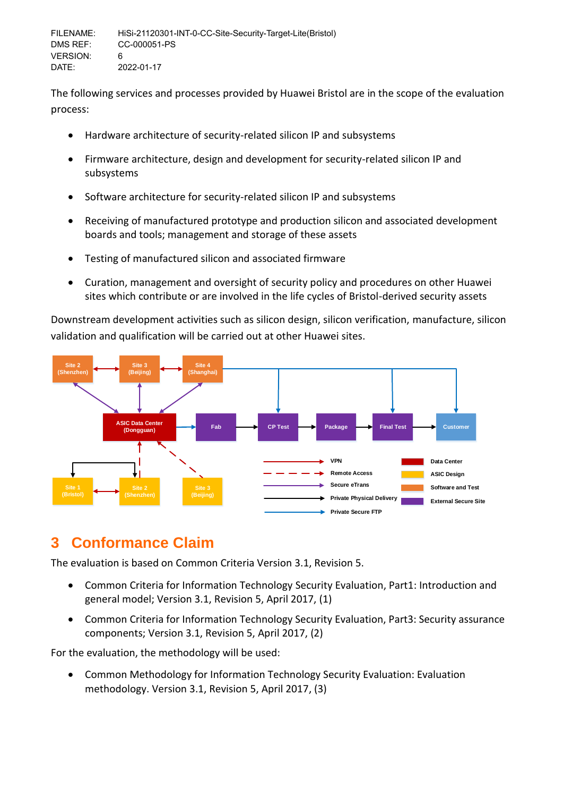The following services and processes provided by Huawei Bristol are in the scope of the evaluation process:

- Hardware architecture of security-related silicon IP and subsystems
- Firmware architecture, design and development for security-related silicon IP and subsystems
- Software architecture for security-related silicon IP and subsystems
- Receiving of manufactured prototype and production silicon and associated development boards and tools; management and storage of these assets
- Testing of manufactured silicon and associated firmware
- Curation, management and oversight of security policy and procedures on other Huawei sites which contribute or are involved in the life cycles of Bristol-derived security assets

Downstream development activities such as silicon design, silicon verification, manufacture, silicon validation and qualification will be carried out at other Huawei sites.



# <span id="page-6-0"></span>**3 Conformance Claim**

The evaluation is based on Common Criteria Version 3.1, Revision 5.

- Common Criteria for Information Technology Security Evaluation, Part1: Introduction and general model; Version 3.1, Revision 5, April 2017, (1)
- Common Criteria for Information Technology Security Evaluation, Part3: Security assurance components; Version 3.1, Revision 5, April 2017, (2)

For the evaluation, the methodology will be used:

 Common Methodology for Information Technology Security Evaluation: Evaluation methodology. Version 3.1, Revision 5, April 2017, (3)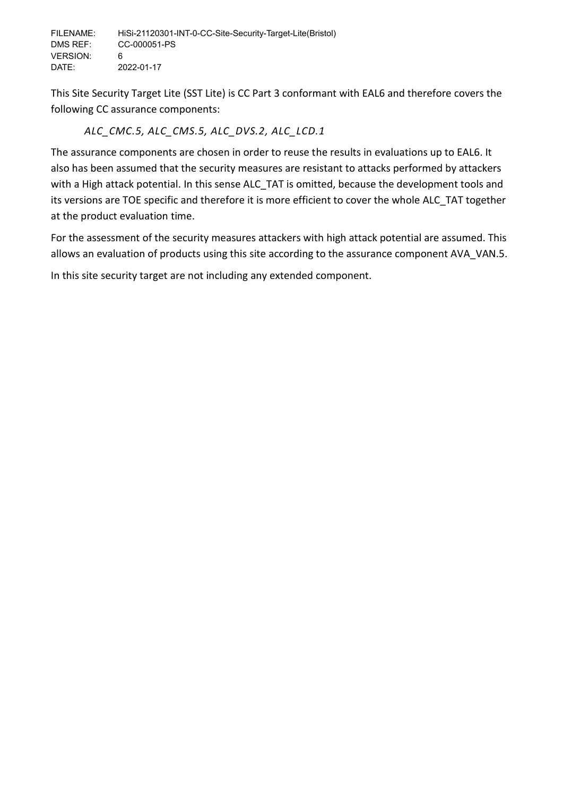This Site Security Target Lite (SST Lite) is CC Part 3 conformant with EAL6 and therefore covers the following CC assurance components:

# *ALC\_CMC.5, ALC\_CMS.5, ALC\_DVS.2, ALC\_LCD.1*

The assurance components are chosen in order to reuse the results in evaluations up to EAL6. It also has been assumed that the security measures are resistant to attacks performed by attackers with a High attack potential. In this sense ALC TAT is omitted, because the development tools and its versions are TOE specific and therefore it is more efficient to cover the whole ALC\_TAT together at the product evaluation time.

For the assessment of the security measures attackers with high attack potential are assumed. This allows an evaluation of products using this site according to the assurance component AVA\_VAN.5. In this site security target are not including any extended component.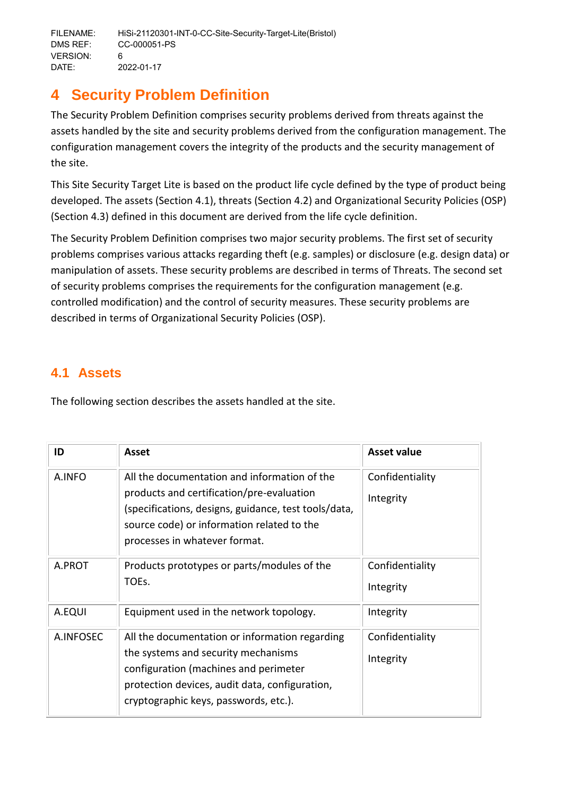# <span id="page-8-0"></span>**4 Security Problem Definition**

The Security Problem Definition comprises security problems derived from threats against the assets handled by the site and security problems derived from the configuration management. The configuration management covers the integrity of the products and the security management of the site.

This Site Security Target Lite is based on the product life cycle defined by the type of product being developed. The assets (Section [4.1\)](#page-8-1), threats (Section [4.2\)](#page-9-0) and Organizational Security Policies (OSP) (Section [4.3\)](#page-10-0) defined in this document are derived from the life cycle definition.

The Security Problem Definition comprises two major security problems. The first set of security problems comprises various attacks regarding theft (e.g. samples) or disclosure (e.g. design data) or manipulation of assets. These security problems are described in terms of Threats. The second set of security problems comprises the requirements for the configuration management (e.g. controlled modification) and the control of security measures. These security problems are described in terms of Organizational Security Policies (OSP).

# <span id="page-8-1"></span>**4.1 Assets**

The following section describes the assets handled at the site.

| ID        | Asset                                                                                                                                                                                                                            | Asset value                  |
|-----------|----------------------------------------------------------------------------------------------------------------------------------------------------------------------------------------------------------------------------------|------------------------------|
| A.INFO    | All the documentation and information of the<br>products and certification/pre-evaluation<br>(specifications, designs, guidance, test tools/data,<br>source code) or information related to the<br>processes in whatever format. | Confidentiality<br>Integrity |
| A.PROT    | Products prototypes or parts/modules of the<br>TOEs.                                                                                                                                                                             | Confidentiality<br>Integrity |
| A.EQUI    | Equipment used in the network topology.                                                                                                                                                                                          | Integrity                    |
| A.INFOSEC | All the documentation or information regarding<br>the systems and security mechanisms<br>configuration (machines and perimeter<br>protection devices, audit data, configuration,<br>cryptographic keys, passwords, etc.).        | Confidentiality<br>Integrity |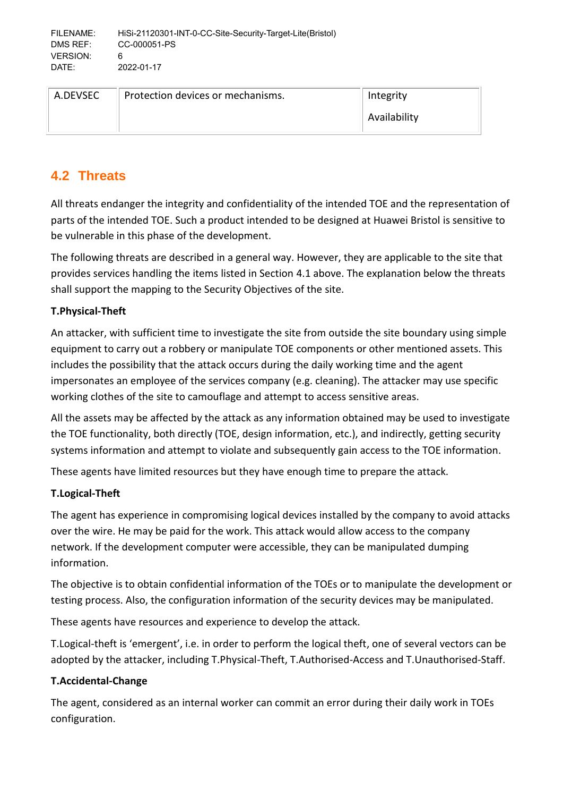| A.DEVSEC | Protection devices or mechanisms. | Integrity    |
|----------|-----------------------------------|--------------|
|          |                                   | Availability |

# <span id="page-9-0"></span>**4.2 Threats**

All threats endanger the integrity and confidentiality of the intended TOE and the representation of parts of the intended TOE. Such a product intended to be designed at Huawei Bristol is sensitive to be vulnerable in this phase of the development.

The following threats are described in a general way. However, they are applicable to the site that provides services handling the items listed in Section [4.1](#page-8-1) above. The explanation below the threats shall support the mapping to the Security Objectives of the site.

# **T.Physical-Theft**

An attacker, with sufficient time to investigate the site from outside the site boundary using simple equipment to carry out a robbery or manipulate TOE components or other mentioned assets. This includes the possibility that the attack occurs during the daily working time and the agent impersonates an employee of the services company (e.g. cleaning). The attacker may use specific working clothes of the site to camouflage and attempt to access sensitive areas.

All the assets may be affected by the attack as any information obtained may be used to investigate the TOE functionality, both directly (TOE, design information, etc.), and indirectly, getting security systems information and attempt to violate and subsequently gain access to the TOE information.

These agents have limited resources but they have enough time to prepare the attack.

# **T.Logical-Theft**

The agent has experience in compromising logical devices installed by the company to avoid attacks over the wire. He may be paid for the work. This attack would allow access to the company network. If the development computer were accessible, they can be manipulated dumping information.

The objective is to obtain confidential information of the TOEs or to manipulate the development or testing process. Also, the configuration information of the security devices may be manipulated.

These agents have resources and experience to develop the attack.

T.Logical-theft is 'emergent', i.e. in order to perform the logical theft, one of several vectors can be adopted by the attacker, including T.Physical-Theft, T.Authorised-Access and T.Unauthorised-Staff.

# **T.Accidental-Change**

The agent, considered as an internal worker can commit an error during their daily work in TOEs configuration.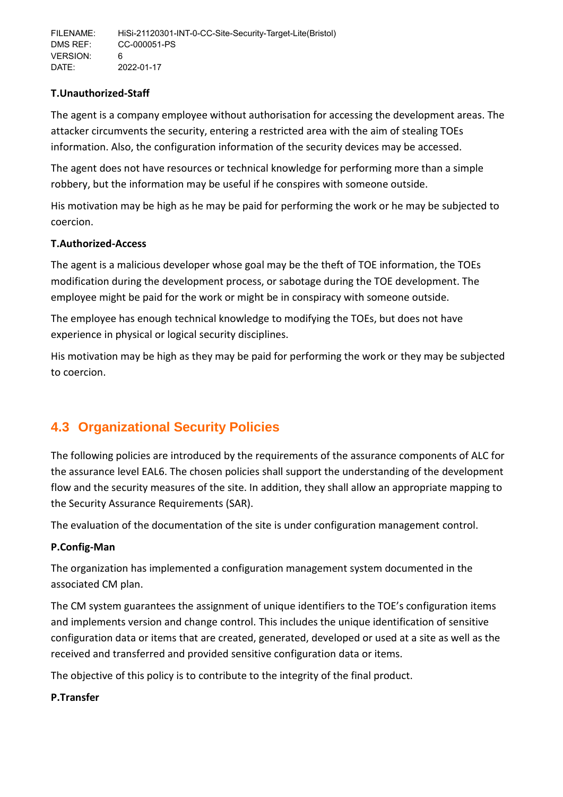# **T.Unauthorized-Staff**

The agent is a company employee without authorisation for accessing the development areas. The attacker circumvents the security, entering a restricted area with the aim of stealing TOEs information. Also, the configuration information of the security devices may be accessed.

The agent does not have resources or technical knowledge for performing more than a simple robbery, but the information may be useful if he conspires with someone outside.

His motivation may be high as he may be paid for performing the work or he may be subjected to coercion.

# **T.Authorized-Access**

The agent is a malicious developer whose goal may be the theft of TOE information, the TOEs modification during the development process, or sabotage during the TOE development. The employee might be paid for the work or might be in conspiracy with someone outside.

The employee has enough technical knowledge to modifying the TOEs, but does not have experience in physical or logical security disciplines.

His motivation may be high as they may be paid for performing the work or they may be subjected to coercion.

# <span id="page-10-0"></span>**4.3 Organizational Security Policies**

The following policies are introduced by the requirements of the assurance components of ALC for the assurance level EAL6. The chosen policies shall support the understanding of the development flow and the security measures of the site. In addition, they shall allow an appropriate mapping to the Security Assurance Requirements (SAR).

The evaluation of the documentation of the site is under configuration management control.

# **P.Config-Man**

The organization has implemented a configuration management system documented in the associated CM plan.

The CM system guarantees the assignment of unique identifiers to the TOE's configuration items and implements version and change control. This includes the unique identification of sensitive configuration data or items that are created, generated, developed or used at a site as well as the received and transferred and provided sensitive configuration data or items.

The objective of this policy is to contribute to the integrity of the final product.

# **P.Transfer**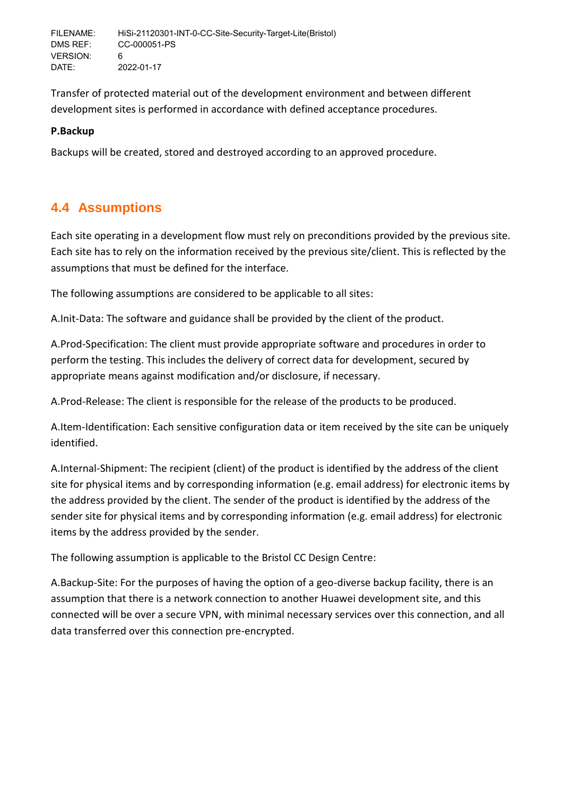Transfer of protected material out of the development environment and between different development sites is performed in accordance with defined acceptance procedures.

# **P.Backup**

Backups will be created, stored and destroyed according to an approved procedure.

# <span id="page-11-0"></span>**4.4 Assumptions**

Each site operating in a development flow must rely on preconditions provided by the previous site. Each site has to rely on the information received by the previous site/client. This is reflected by the assumptions that must be defined for the interface.

The following assumptions are considered to be applicable to all sites:

A.Init-Data: The software and guidance shall be provided by the client of the product.

A.Prod-Specification: The client must provide appropriate software and procedures in order to perform the testing. This includes the delivery of correct data for development, secured by appropriate means against modification and/or disclosure, if necessary.

A.Prod-Release: The client is responsible for the release of the products to be produced.

A.Item-Identification: Each sensitive configuration data or item received by the site can be uniquely identified.

A.Internal-Shipment: The recipient (client) of the product is identified by the address of the client site for physical items and by corresponding information (e.g. email address) for electronic items by the address provided by the client. The sender of the product is identified by the address of the sender site for physical items and by corresponding information (e.g. email address) for electronic items by the address provided by the sender.

The following assumption is applicable to the Bristol CC Design Centre:

A.Backup-Site: For the purposes of having the option of a geo-diverse backup facility, there is an assumption that there is a network connection to another Huawei development site, and this connected will be over a secure VPN, with minimal necessary services over this connection, and all data transferred over this connection pre-encrypted.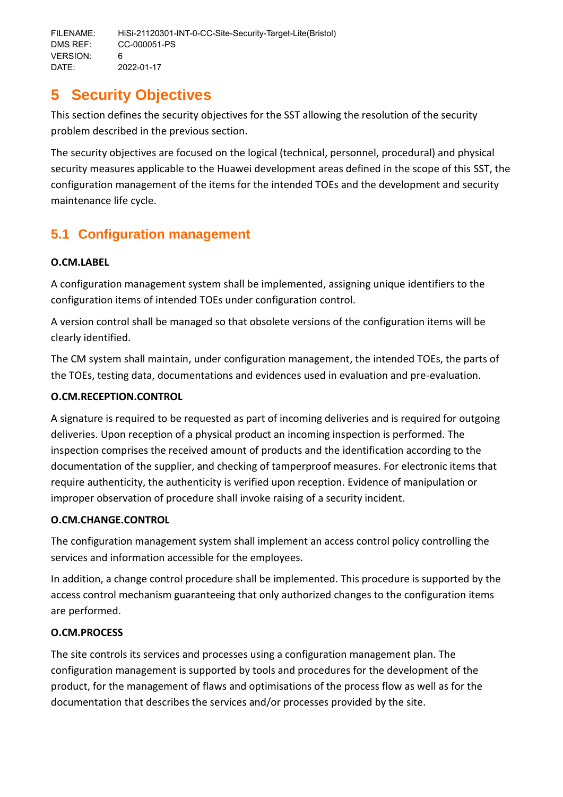# <span id="page-12-0"></span>**5 Security Objectives**

This section defines the security objectives for the SST allowing the resolution of the security problem described in the previous section.

The security objectives are focused on the logical (technical, personnel, procedural) and physical security measures applicable to the Huawei development areas defined in the scope of this SST, the configuration management of the items for the intended TOEs and the development and security maintenance life cycle.

# <span id="page-12-1"></span>**5.1 Configuration management**

# **O.CM.LABEL**

A configuration management system shall be implemented, assigning unique identifiers to the configuration items of intended TOEs under configuration control.

A version control shall be managed so that obsolete versions of the configuration items will be clearly identified.

The CM system shall maintain, under configuration management, the intended TOEs, the parts of the TOEs, testing data, documentations and evidences used in evaluation and pre-evaluation.

# **O.CM.RECEPTION.CONTROL**

A signature is required to be requested as part of incoming deliveries and is required for outgoing deliveries. Upon reception of a physical product an incoming inspection is performed. The inspection comprises the received amount of products and the identification according to the documentation of the supplier, and checking of tamperproof measures. For electronic items that require authenticity, the authenticity is verified upon reception. Evidence of manipulation or improper observation of procedure shall invoke raising of a security incident.

# **O.CM.CHANGE.CONTROL**

The configuration management system shall implement an access control policy controlling the services and information accessible for the employees.

In addition, a change control procedure shall be implemented. This procedure is supported by the access control mechanism guaranteeing that only authorized changes to the configuration items are performed.

# **O.CM.PROCESS**

The site controls its services and processes using a configuration management plan. The configuration management is supported by tools and procedures for the development of the product, for the management of flaws and optimisations of the process flow as well as for the documentation that describes the services and/or processes provided by the site.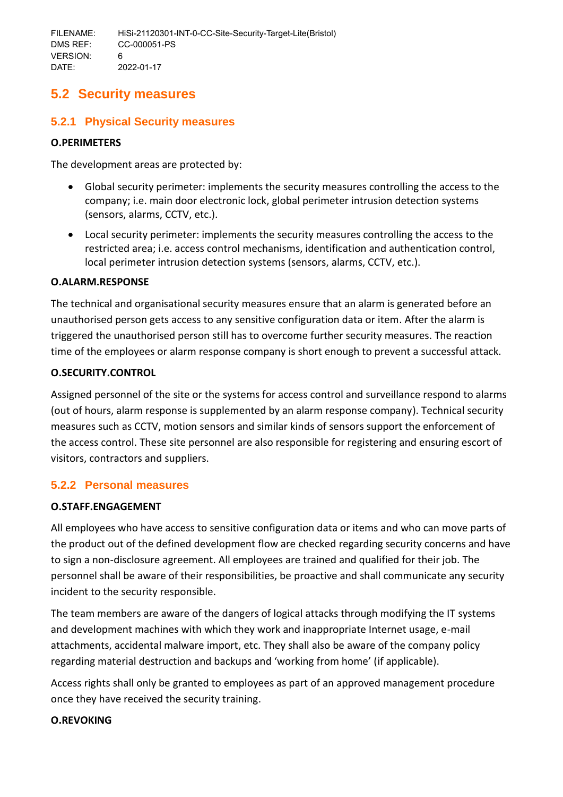# <span id="page-13-0"></span>**5.2 Security measures**

# <span id="page-13-1"></span>**5.2.1 Physical Security measures**

### **O.PERIMETERS**

The development areas are protected by:

- Global security perimeter: implements the security measures controlling the access to the company; i.e. main door electronic lock, global perimeter intrusion detection systems (sensors, alarms, CCTV, etc.).
- Local security perimeter: implements the security measures controlling the access to the restricted area; i.e. access control mechanisms, identification and authentication control, local perimeter intrusion detection systems (sensors, alarms, CCTV, etc.).

### **O.ALARM.RESPONSE**

The technical and organisational security measures ensure that an alarm is generated before an unauthorised person gets access to any sensitive configuration data or item. After the alarm is triggered the unauthorised person still has to overcome further security measures. The reaction time of the employees or alarm response company is short enough to prevent a successful attack.

### **O.SECURITY.CONTROL**

Assigned personnel of the site or the systems for access control and surveillance respond to alarms (out of hours, alarm response is supplemented by an alarm response company). Technical security measures such as CCTV, motion sensors and similar kinds of sensors support the enforcement of the access control. These site personnel are also responsible for registering and ensuring escort of visitors, contractors and suppliers.

# <span id="page-13-2"></span>**5.2.2 Personal measures**

# **O.STAFF.ENGAGEMENT**

All employees who have access to sensitive configuration data or items and who can move parts of the product out of the defined development flow are checked regarding security concerns and have to sign a non-disclosure agreement. All employees are trained and qualified for their job. The personnel shall be aware of their responsibilities, be proactive and shall communicate any security incident to the security responsible.

The team members are aware of the dangers of logical attacks through modifying the IT systems and development machines with which they work and inappropriate Internet usage, e-mail attachments, accidental malware import, etc. They shall also be aware of the company policy regarding material destruction and backups and 'working from home' (if applicable).

Access rights shall only be granted to employees as part of an approved management procedure once they have received the security training.

# **O.REVOKING**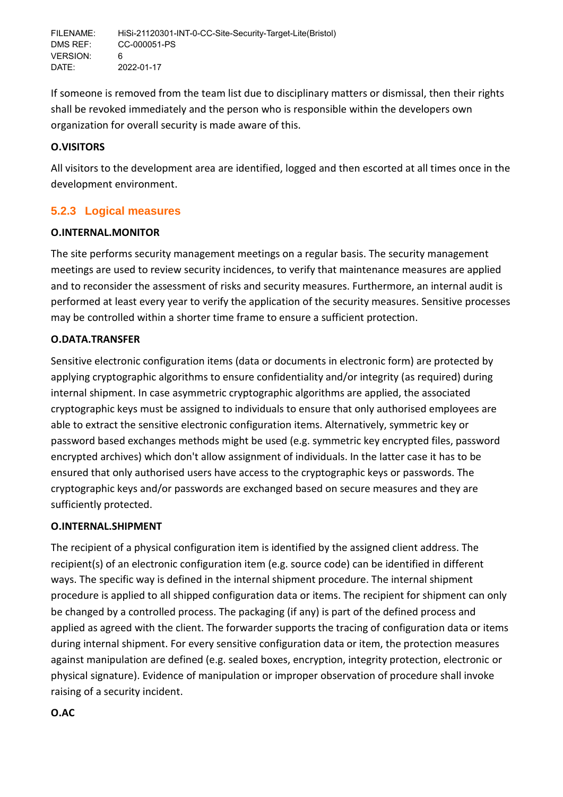If someone is removed from the team list due to disciplinary matters or dismissal, then their rights shall be revoked immediately and the person who is responsible within the developers own organization for overall security is made aware of this.

### **O.VISITORS**

All visitors to the development area are identified, logged and then escorted at all times once in the development environment.

# <span id="page-14-0"></span>**5.2.3 Logical measures**

### **O.INTERNAL.MONITOR**

The site performs security management meetings on a regular basis. The security management meetings are used to review security incidences, to verify that maintenance measures are applied and to reconsider the assessment of risks and security measures. Furthermore, an internal audit is performed at least every year to verify the application of the security measures. Sensitive processes may be controlled within a shorter time frame to ensure a sufficient protection.

### **O.DATA.TRANSFER**

Sensitive electronic configuration items (data or documents in electronic form) are protected by applying cryptographic algorithms to ensure confidentiality and/or integrity (as required) during internal shipment. In case asymmetric cryptographic algorithms are applied, the associated cryptographic keys must be assigned to individuals to ensure that only authorised employees are able to extract the sensitive electronic configuration items. Alternatively, symmetric key or password based exchanges methods might be used (e.g. symmetric key encrypted files, password encrypted archives) which don't allow assignment of individuals. In the latter case it has to be ensured that only authorised users have access to the cryptographic keys or passwords. The cryptographic keys and/or passwords are exchanged based on secure measures and they are sufficiently protected.

### **O.INTERNAL.SHIPMENT**

The recipient of a physical configuration item is identified by the assigned client address. The recipient(s) of an electronic configuration item (e.g. source code) can be identified in different ways. The specific way is defined in the internal shipment procedure. The internal shipment procedure is applied to all shipped configuration data or items. The recipient for shipment can only be changed by a controlled process. The packaging (if any) is part of the defined process and applied as agreed with the client. The forwarder supports the tracing of configuration data or items during internal shipment. For every sensitive configuration data or item, the protection measures against manipulation are defined (e.g. sealed boxes, encryption, integrity protection, electronic or physical signature). Evidence of manipulation or improper observation of procedure shall invoke raising of a security incident.

# **O.AC**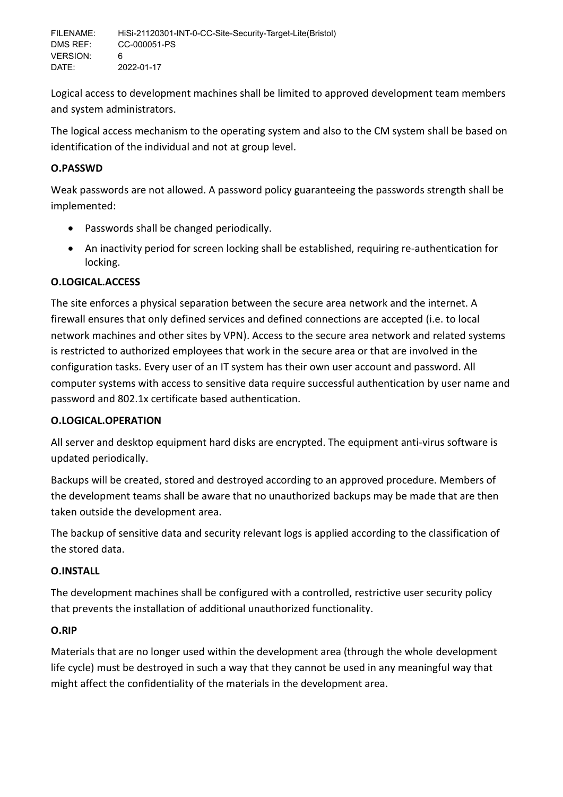Logical access to development machines shall be limited to approved development team members and system administrators.

The logical access mechanism to the operating system and also to the CM system shall be based on identification of the individual and not at group level.

# **O.PASSWD**

Weak passwords are not allowed. A password policy guaranteeing the passwords strength shall be implemented:

- Passwords shall be changed periodically.
- An inactivity period for screen locking shall be established, requiring re-authentication for locking.

# **O.LOGICAL.ACCESS**

The site enforces a physical separation between the secure area network and the internet. A firewall ensures that only defined services and defined connections are accepted (i.e. to local network machines and other sites by VPN). Access to the secure area network and related systems is restricted to authorized employees that work in the secure area or that are involved in the configuration tasks. Every user of an IT system has their own user account and password. All computer systems with access to sensitive data require successful authentication by user name and password and 802.1x certificate based authentication.

# **O.LOGICAL.OPERATION**

All server and desktop equipment hard disks are encrypted. The equipment anti-virus software is updated periodically.

Backups will be created, stored and destroyed according to an approved procedure. Members of the development teams shall be aware that no unauthorized backups may be made that are then taken outside the development area.

The backup of sensitive data and security relevant logs is applied according to the classification of the stored data.

# **O.INSTALL**

The development machines shall be configured with a controlled, restrictive user security policy that prevents the installation of additional unauthorized functionality.

# **O.RIP**

Materials that are no longer used within the development area (through the whole development life cycle) must be destroyed in such a way that they cannot be used in any meaningful way that might affect the confidentiality of the materials in the development area.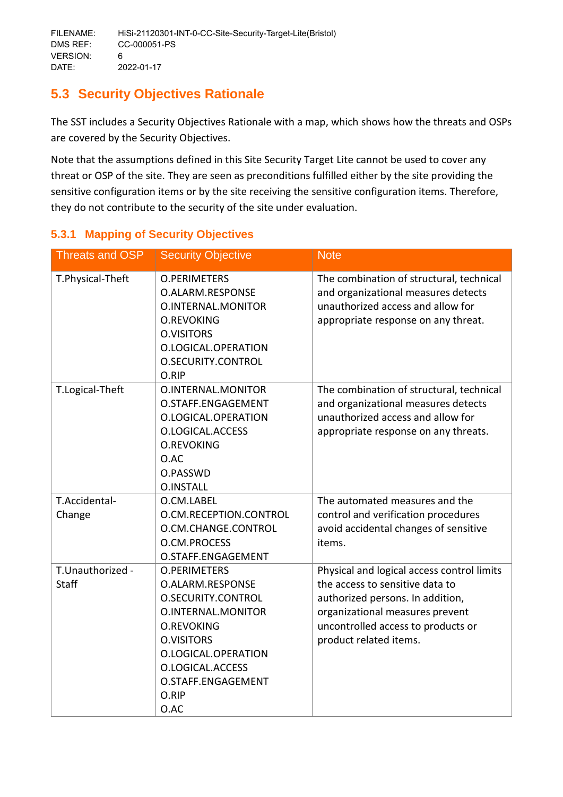# <span id="page-16-0"></span>**5.3 Security Objectives Rationale**

The SST includes a Security Objectives Rationale with a map, which shows how the threats and OSPs are covered by the Security Objectives.

Note that the assumptions defined in this Site Security Target Lite cannot be used to cover any threat or OSP of the site. They are seen as preconditions fulfilled either by the site providing the sensitive configuration items or by the site receiving the sensitive configuration items. Therefore, they do not contribute to the security of the site under evaluation.

| <b>Threats and OSP</b>    | <b>Security Objective</b>                                                                                                                                                                                       | <b>Note</b>                                                                                                                                                                                                          |
|---------------------------|-----------------------------------------------------------------------------------------------------------------------------------------------------------------------------------------------------------------|----------------------------------------------------------------------------------------------------------------------------------------------------------------------------------------------------------------------|
| T.Physical-Theft          | <b>O.PERIMETERS</b><br>O.ALARM.RESPONSE<br>O.INTERNAL.MONITOR<br><b>O.REVOKING</b><br><b>O.VISITORS</b><br>O.LOGICAL.OPERATION<br>O.SECURITY.CONTROL<br>O.RIP                                                   | The combination of structural, technical<br>and organizational measures detects<br>unauthorized access and allow for<br>appropriate response on any threat.                                                          |
| T.Logical-Theft           | O.INTERNAL.MONITOR<br>O.STAFF.ENGAGEMENT<br>O.LOGICAL.OPERATION<br>O.LOGICAL.ACCESS<br><b>O.REVOKING</b><br>O.AC<br>O.PASSWD<br><b>O.INSTALL</b>                                                                | The combination of structural, technical<br>and organizational measures detects<br>unauthorized access and allow for<br>appropriate response on any threats.                                                         |
| T.Accidental-<br>Change   | O.CM.LABEL<br>O.CM.RECEPTION.CONTROL<br>O.CM.CHANGE.CONTROL<br>O.CM.PROCESS<br>O.STAFF.ENGAGEMENT                                                                                                               | The automated measures and the<br>control and verification procedures<br>avoid accidental changes of sensitive<br>items.                                                                                             |
| T.Unauthorized -<br>Staff | <b>O.PERIMETERS</b><br>O.ALARM.RESPONSE<br>O.SECURITY.CONTROL<br>O.INTERNAL.MONITOR<br><b>O.REVOKING</b><br><b>O.VISITORS</b><br>O.LOGICAL.OPERATION<br>O.LOGICAL.ACCESS<br>O.STAFF.ENGAGEMENT<br>O.RIP<br>O.AC | Physical and logical access control limits<br>the access to sensitive data to<br>authorized persons. In addition,<br>organizational measures prevent<br>uncontrolled access to products or<br>product related items. |

# <span id="page-16-1"></span>**5.3.1 Mapping of Security Objectives**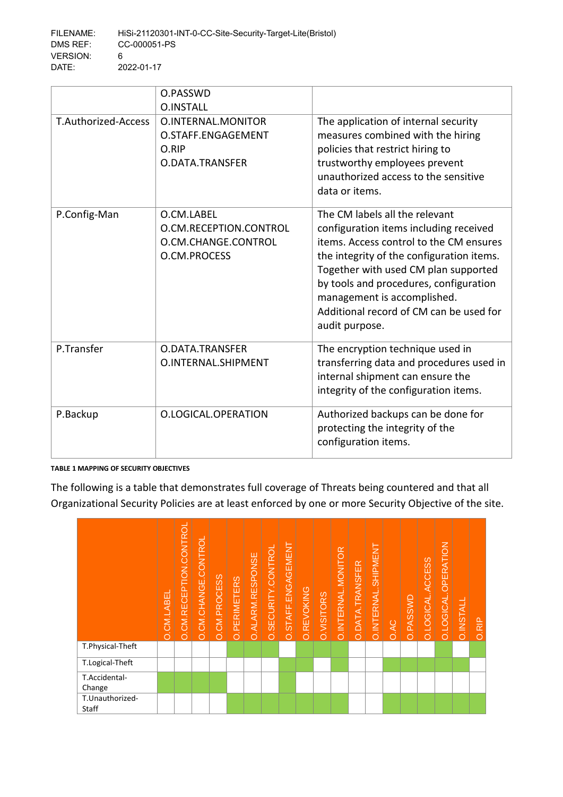|                     | O.PASSWD<br><b>O.INSTALL</b>                                                |                                                                                                                                                                                                                                                                                                                                                |
|---------------------|-----------------------------------------------------------------------------|------------------------------------------------------------------------------------------------------------------------------------------------------------------------------------------------------------------------------------------------------------------------------------------------------------------------------------------------|
| T.Authorized-Access | O.INTERNAL.MONITOR<br>O.STAFF.ENGAGEMENT<br>O.RIP<br>O.DATA.TRANSFER        | The application of internal security<br>measures combined with the hiring<br>policies that restrict hiring to<br>trustworthy employees prevent<br>unauthorized access to the sensitive<br>data or items.                                                                                                                                       |
| P.Config-Man        | O.CM.LABEL<br>O.CM.RECEPTION.CONTROL<br>O.CM.CHANGE.CONTROL<br>O.CM.PROCESS | The CM labels all the relevant<br>configuration items including received<br>items. Access control to the CM ensures<br>the integrity of the configuration items.<br>Together with used CM plan supported<br>by tools and procedures, configuration<br>management is accomplished.<br>Additional record of CM can be used for<br>audit purpose. |
| P.Transfer          | O.DATA.TRANSFER<br>O.INTERNAL.SHIPMENT                                      | The encryption technique used in<br>transferring data and procedures used in<br>internal shipment can ensure the<br>integrity of the configuration items.                                                                                                                                                                                      |
| P.Backup            | O.LOGICAL.OPERATION                                                         | Authorized backups can be done for<br>protecting the integrity of the<br>configuration items.                                                                                                                                                                                                                                                  |

#### **TABLE 1 MAPPING OF SECURITY OBJECTIVES**

The following is a table that demonstrates full coverage of Threats being countered and that all Organizational Security Policies are at least enforced by one or more Security Objective of the site.

|                          | O.CM.LABEL | O.CM.RECEPTION.CONTROL | O.CM.CHANGE.CONTROL | O.CM.PROCESS | O. PERIMETERS | O.ALARM.RESPONSE | O.SECURITY.CONTROI | O.STAFF.ENGAGEMENT | <b>O.REVOKING</b> | <b>O.VISITORS</b> | O.INTERNAL.MONITOR | O.DATA.TRANSFER | O.INTERNAL.SHIPMENT | <b>O.AC</b> | <b>O.PASSWD</b> | O.LOGICAL.ACCESS | O.LOGICAL.OPERATION | <b>O.INSTALL</b> | <b>O.RIP</b> |
|--------------------------|------------|------------------------|---------------------|--------------|---------------|------------------|--------------------|--------------------|-------------------|-------------------|--------------------|-----------------|---------------------|-------------|-----------------|------------------|---------------------|------------------|--------------|
| T.Physical-Theft         |            |                        |                     |              |               |                  |                    |                    |                   |                   |                    |                 |                     |             |                 |                  |                     |                  |              |
| T.Logical-Theft          |            |                        |                     |              |               |                  |                    |                    |                   |                   |                    |                 |                     |             |                 |                  |                     |                  |              |
| T.Accidental-<br>Change  |            |                        |                     |              |               |                  |                    |                    |                   |                   |                    |                 |                     |             |                 |                  |                     |                  |              |
| T.Unauthorized-<br>Staff |            |                        |                     |              |               |                  |                    |                    |                   |                   |                    |                 |                     |             |                 |                  |                     |                  |              |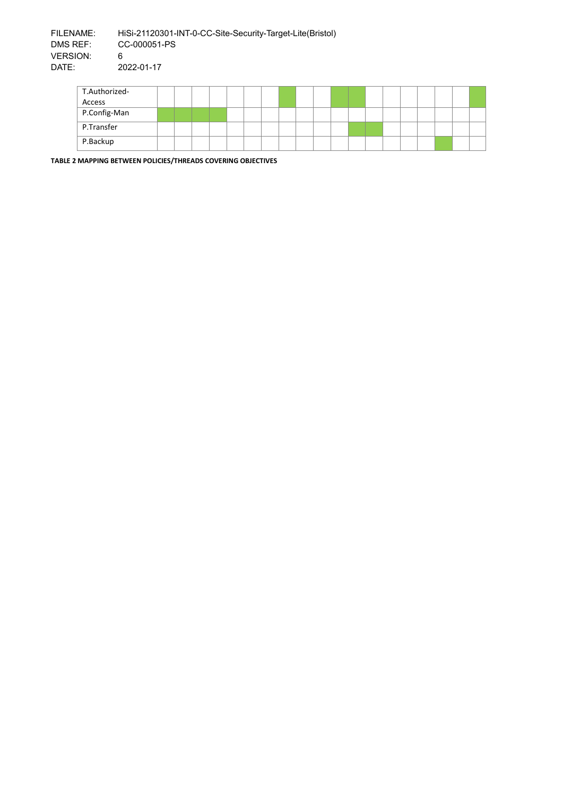| T.Authorized- |  |  |  |  |  |  |  |  |  |  |
|---------------|--|--|--|--|--|--|--|--|--|--|
| Access        |  |  |  |  |  |  |  |  |  |  |
| P.Config-Man  |  |  |  |  |  |  |  |  |  |  |
| P.Transfer    |  |  |  |  |  |  |  |  |  |  |
| P.Backup      |  |  |  |  |  |  |  |  |  |  |

**TABLE 2 MAPPING BETWEEN POLICIES/THREADS COVERING OBJECTIVES**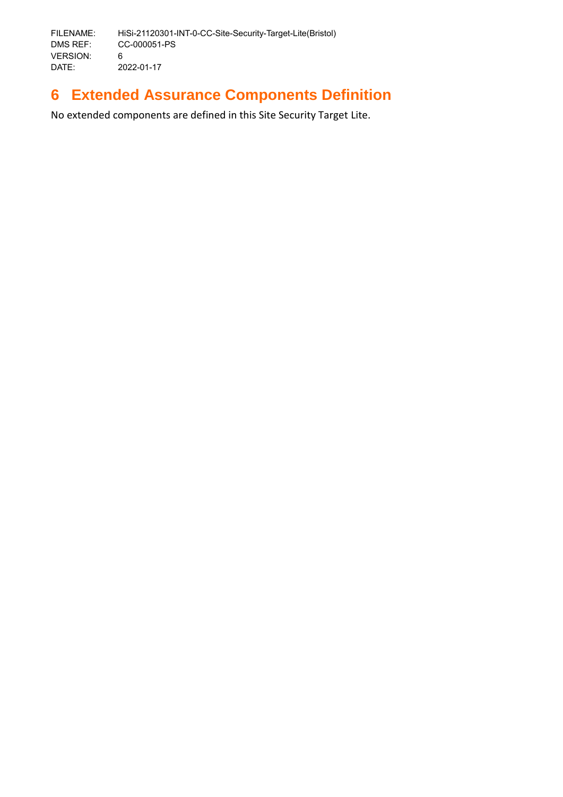# <span id="page-19-0"></span>**6 Extended Assurance Components Definition**

No extended components are defined in this Site Security Target Lite.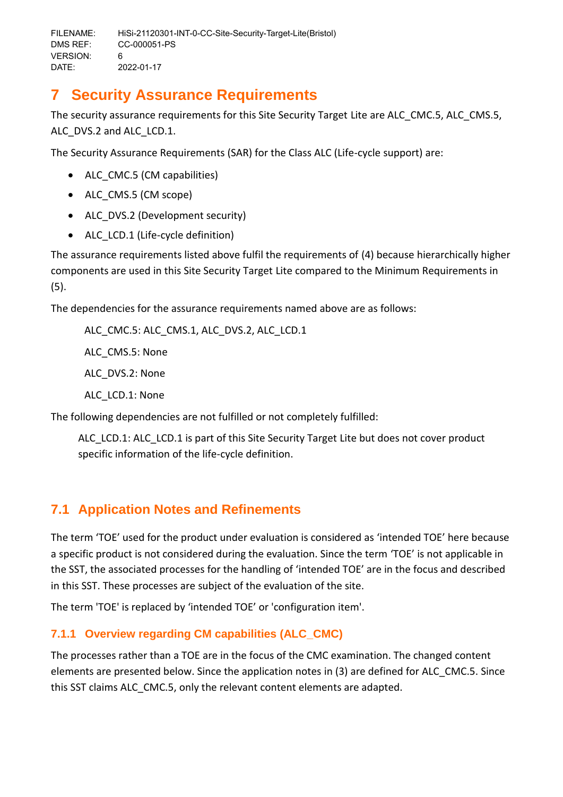# <span id="page-20-0"></span>**7 Security Assurance Requirements**

The security assurance requirements for this Site Security Target Lite are ALC\_CMC.5, ALC\_CMS.5, ALC DVS.2 and ALC LCD.1.

The Security Assurance Requirements (SAR) for the Class ALC (Life-cycle support) are:

- ALC CMC.5 (CM capabilities)
- ALC CMS.5 (CM scope)
- ALC DVS.2 (Development security)
- ALC LCD.1 (Life-cycle definition)

The assurance requirements listed above fulfil the requirements of (4) because hierarchically higher components are used in this Site Security Target Lite compared to the Minimum Requirements in (5).

The dependencies for the assurance requirements named above are as follows:

ALC\_CMC.5: ALC\_CMS.1, ALC\_DVS.2, ALC\_LCD.1 ALC\_CMS.5: None ALC\_DVS.2: None ALC\_LCD.1: None

The following dependencies are not fulfilled or not completely fulfilled:

ALC LCD.1: ALC LCD.1 is part of this Site Security Target Lite but does not cover product specific information of the life-cycle definition.

# <span id="page-20-1"></span>**7.1 Application Notes and Refinements**

The term 'TOE' used for the product under evaluation is considered as 'intended TOE' here because a specific product is not considered during the evaluation. Since the term 'TOE' is not applicable in the SST, the associated processes for the handling of 'intended TOE' are in the focus and described in this SST. These processes are subject of the evaluation of the site.

The term 'TOE' is replaced by 'intended TOE' or 'configuration item'.

# <span id="page-20-2"></span>**7.1.1 Overview regarding CM capabilities (ALC\_CMC)**

The processes rather than a TOE are in the focus of the CMC examination. The changed content elements are presented below. Since the application notes in (3) are defined for ALC\_CMC.5. Since this SST claims ALC\_CMC.5, only the relevant content elements are adapted.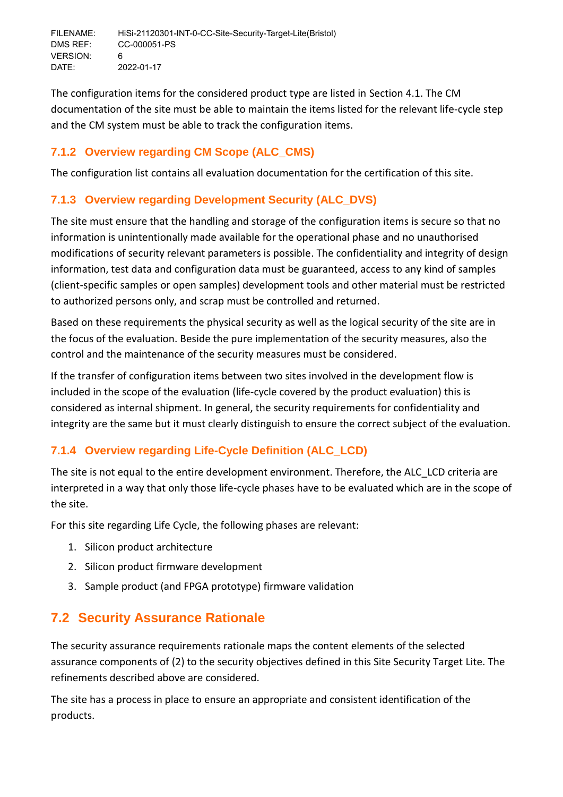The configuration items for the considered product type are listed in Section [4.1.](#page-8-1) The CM documentation of the site must be able to maintain the items listed for the relevant life-cycle step and the CM system must be able to track the configuration items.

# <span id="page-21-0"></span>**7.1.2 Overview regarding CM Scope (ALC\_CMS)**

The configuration list contains all evaluation documentation for the certification of this site.

# <span id="page-21-1"></span>**7.1.3 Overview regarding Development Security (ALC\_DVS)**

The site must ensure that the handling and storage of the configuration items is secure so that no information is unintentionally made available for the operational phase and no unauthorised modifications of security relevant parameters is possible. The confidentiality and integrity of design information, test data and configuration data must be guaranteed, access to any kind of samples (client-specific samples or open samples) development tools and other material must be restricted to authorized persons only, and scrap must be controlled and returned.

Based on these requirements the physical security as well as the logical security of the site are in the focus of the evaluation. Beside the pure implementation of the security measures, also the control and the maintenance of the security measures must be considered.

If the transfer of configuration items between two sites involved in the development flow is included in the scope of the evaluation (life-cycle covered by the product evaluation) this is considered as internal shipment. In general, the security requirements for confidentiality and integrity are the same but it must clearly distinguish to ensure the correct subject of the evaluation.

# <span id="page-21-2"></span>**7.1.4 Overview regarding Life-Cycle Definition (ALC\_LCD)**

The site is not equal to the entire development environment. Therefore, the ALC\_LCD criteria are interpreted in a way that only those life-cycle phases have to be evaluated which are in the scope of the site.

For this site regarding Life Cycle, the following phases are relevant:

- 1. Silicon product architecture
- 2. Silicon product firmware development
- 3. Sample product (and FPGA prototype) firmware validation

# <span id="page-21-3"></span>**7.2 Security Assurance Rationale**

The security assurance requirements rationale maps the content elements of the selected assurance components of (2) to the security objectives defined in this Site Security Target Lite. The refinements described above are considered.

The site has a process in place to ensure an appropriate and consistent identification of the products.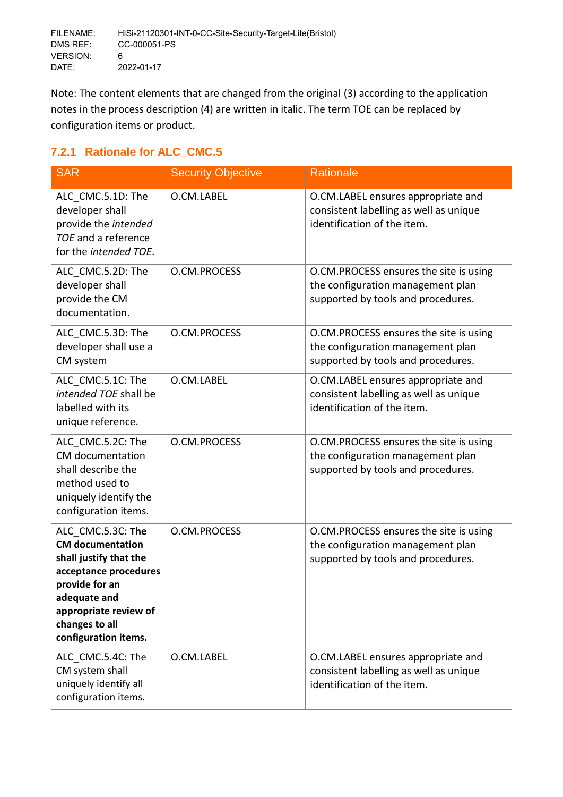Note: The content elements that are changed from the original (3) according to the application notes in the process description (4) are written in italic. The term TOE can be replaced by configuration items or product.

# <span id="page-22-0"></span>**7.2.1 Rationale for ALC\_CMC.5**

| <b>SAR</b>                                                                                                                                                                                           | <b>Security Objective</b> | <b>Rationale</b>                                                                                                  |
|------------------------------------------------------------------------------------------------------------------------------------------------------------------------------------------------------|---------------------------|-------------------------------------------------------------------------------------------------------------------|
| ALC_CMC.5.1D: The<br>developer shall<br>provide the intended<br>TOE and a reference<br>for the intended TOE.                                                                                         | O.CM.LABEL                | O.CM.LABEL ensures appropriate and<br>consistent labelling as well as unique<br>identification of the item.       |
| ALC CMC.5.2D: The<br>developer shall<br>provide the CM<br>documentation.                                                                                                                             | O.CM.PROCESS              | O.CM.PROCESS ensures the site is using<br>the configuration management plan<br>supported by tools and procedures. |
| ALC_CMC.5.3D: The<br>developer shall use a<br>CM system                                                                                                                                              | O.CM.PROCESS              | O.CM.PROCESS ensures the site is using<br>the configuration management plan<br>supported by tools and procedures. |
| ALC CMC.5.1C: The<br>intended TOE shall be<br>labelled with its<br>unique reference.                                                                                                                 | O.CM.LABEL                | O.CM.LABEL ensures appropriate and<br>consistent labelling as well as unique<br>identification of the item.       |
| ALC CMC.5.2C: The<br>CM documentation<br>shall describe the<br>method used to<br>uniquely identify the<br>configuration items.                                                                       | O.CM.PROCESS              | O.CM.PROCESS ensures the site is using<br>the configuration management plan<br>supported by tools and procedures. |
| ALC CMC.5.3C: The<br><b>CM</b> documentation<br>shall justify that the<br>acceptance procedures<br>provide for an<br>adequate and<br>appropriate review of<br>changes to all<br>configuration items. | O.CM.PROCESS              | O.CM.PROCESS ensures the site is using<br>the configuration management plan<br>supported by tools and procedures. |
| ALC CMC.5.4C: The<br>CM system shall<br>uniquely identify all<br>configuration items.                                                                                                                | O.CM.LABEL                | O.CM.LABEL ensures appropriate and<br>consistent labelling as well as unique<br>identification of the item.       |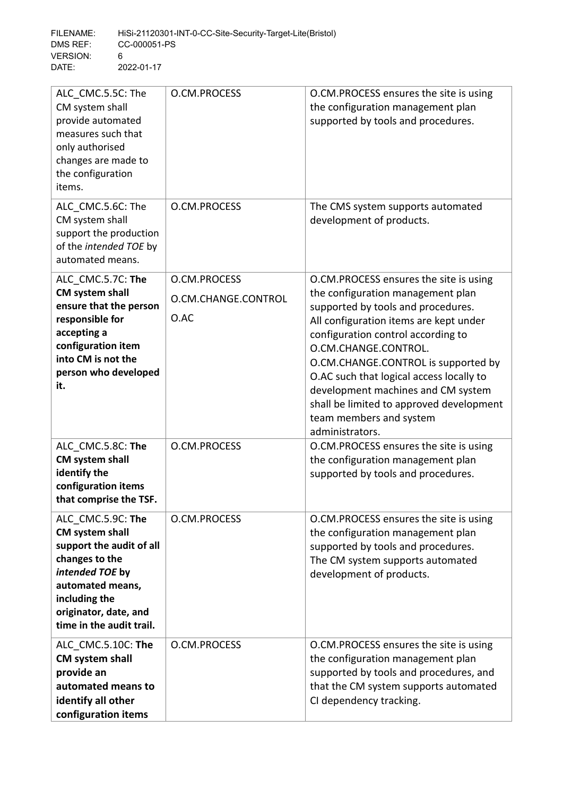| ALC CMC.5.5C: The<br>CM system shall<br>provide automated<br>measures such that<br>only authorised<br>changes are made to<br>the configuration<br>items.                                               | O.CM.PROCESS                                | O.CM.PROCESS ensures the site is using<br>the configuration management plan<br>supported by tools and procedures.                                                                                                                                                                                                                                                                                                                            |
|--------------------------------------------------------------------------------------------------------------------------------------------------------------------------------------------------------|---------------------------------------------|----------------------------------------------------------------------------------------------------------------------------------------------------------------------------------------------------------------------------------------------------------------------------------------------------------------------------------------------------------------------------------------------------------------------------------------------|
| ALC CMC.5.6C: The<br>CM system shall<br>support the production<br>of the intended TOE by<br>automated means.                                                                                           | O.CM.PROCESS                                | The CMS system supports automated<br>development of products.                                                                                                                                                                                                                                                                                                                                                                                |
| ALC_CMC.5.7C: The<br>CM system shall<br>ensure that the person<br>responsible for<br>accepting a<br>configuration item<br>into CM is not the<br>person who developed<br>it.                            | O.CM.PROCESS<br>O.CM.CHANGE.CONTROL<br>O.AC | O.CM.PROCESS ensures the site is using<br>the configuration management plan<br>supported by tools and procedures.<br>All configuration items are kept under<br>configuration control according to<br>O.CM.CHANGE.CONTROL.<br>O.CM.CHANGE.CONTROL is supported by<br>O.AC such that logical access locally to<br>development machines and CM system<br>shall be limited to approved development<br>team members and system<br>administrators. |
| ALC CMC.5.8C: The<br>CM system shall<br>identify the<br>configuration items<br>that comprise the TSF.                                                                                                  | O.CM.PROCESS                                | O.CM.PROCESS ensures the site is using<br>the configuration management plan<br>supported by tools and procedures.                                                                                                                                                                                                                                                                                                                            |
| ALC CMC.5.9C: The<br><b>CM system shall</b><br>support the audit of all<br>changes to the<br>intended TOE by<br>automated means,<br>including the<br>originator, date, and<br>time in the audit trail. | O.CM.PROCESS                                | O.CM.PROCESS ensures the site is using<br>the configuration management plan<br>supported by tools and procedures.<br>The CM system supports automated<br>development of products.                                                                                                                                                                                                                                                            |
| ALC_CMC.5.10C: The<br>CM system shall<br>provide an<br>automated means to<br>identify all other<br>configuration items                                                                                 | O.CM.PROCESS                                | O.CM.PROCESS ensures the site is using<br>the configuration management plan<br>supported by tools and procedures, and<br>that the CM system supports automated<br>CI dependency tracking.                                                                                                                                                                                                                                                    |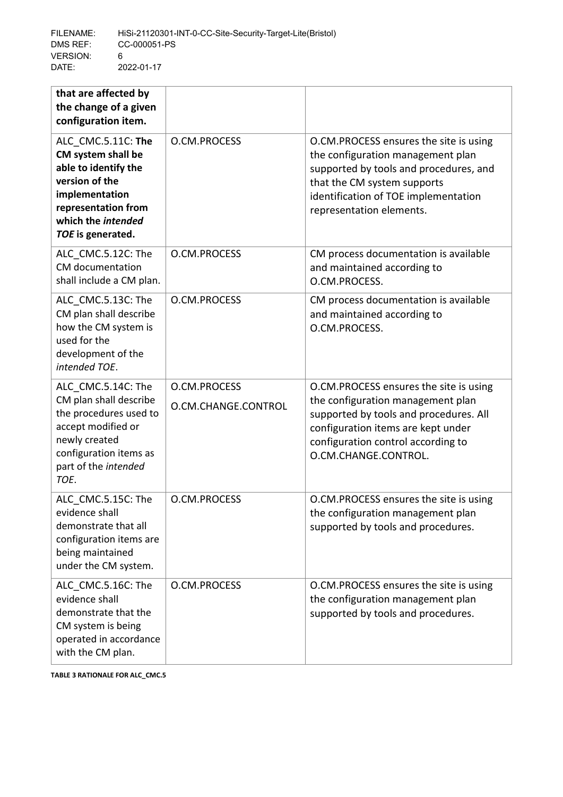| that are affected by<br>the change of a given<br>configuration item.                                                                                                    |                                     |                                                                                                                                                                                                                           |
|-------------------------------------------------------------------------------------------------------------------------------------------------------------------------|-------------------------------------|---------------------------------------------------------------------------------------------------------------------------------------------------------------------------------------------------------------------------|
| ALC CMC.5.11C: The<br>CM system shall be<br>able to identify the<br>version of the<br>implementation<br>representation from<br>which the intended<br>TOE is generated.  | O.CM.PROCESS                        | O.CM.PROCESS ensures the site is using<br>the configuration management plan<br>supported by tools and procedures, and<br>that the CM system supports<br>identification of TOE implementation<br>representation elements.  |
| ALC CMC.5.12C: The<br>CM documentation<br>shall include a CM plan.                                                                                                      | O.CM.PROCESS                        | CM process documentation is available<br>and maintained according to<br>O.CM.PROCESS.                                                                                                                                     |
| ALC_CMC.5.13C: The<br>CM plan shall describe<br>how the CM system is<br>used for the<br>development of the<br>intended TOE.                                             | O.CM.PROCESS                        | CM process documentation is available<br>and maintained according to<br>O.CM.PROCESS.                                                                                                                                     |
| ALC CMC.5.14C: The<br>CM plan shall describe<br>the procedures used to<br>accept modified or<br>newly created<br>configuration items as<br>part of the intended<br>TOE. | O.CM.PROCESS<br>O.CM.CHANGE.CONTROL | O.CM.PROCESS ensures the site is using<br>the configuration management plan<br>supported by tools and procedures. All<br>configuration items are kept under<br>configuration control according to<br>O.CM.CHANGE.CONTROL. |
| ALC CMC.5.15C: The<br>evidence shall<br>demonstrate that all<br>configuration items are<br>being maintained<br>under the CM system.                                     | O.CM.PROCESS                        | O.CM.PROCESS ensures the site is using<br>the configuration management plan<br>supported by tools and procedures.                                                                                                         |
| ALC CMC.5.16C: The<br>evidence shall<br>demonstrate that the<br>CM system is being<br>operated in accordance<br>with the CM plan.                                       | O.CM.PROCESS                        | O.CM.PROCESS ensures the site is using<br>the configuration management plan<br>supported by tools and procedures.                                                                                                         |

**TABLE 3 RATIONALE FOR ALC\_CMC.5**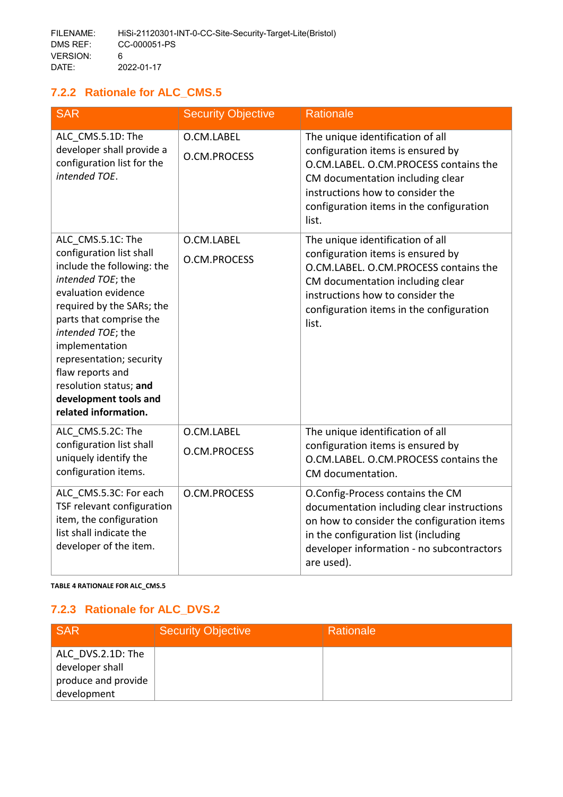# <span id="page-25-0"></span>**7.2.2 Rationale for ALC\_CMS.5**

| <b>SAR</b>                                                                                                                                                                                                                                                                                                                                        | <b>Security Objective</b>  | Rationale                                                                                                                                                                                                                                   |
|---------------------------------------------------------------------------------------------------------------------------------------------------------------------------------------------------------------------------------------------------------------------------------------------------------------------------------------------------|----------------------------|---------------------------------------------------------------------------------------------------------------------------------------------------------------------------------------------------------------------------------------------|
| ALC_CMS.5.1D: The<br>developer shall provide a<br>configuration list for the<br>intended TOE.                                                                                                                                                                                                                                                     | O.CM.LABEL<br>O.CM.PROCESS | The unique identification of all<br>configuration items is ensured by<br>O.CM.LABEL. O.CM.PROCESS contains the<br>CM documentation including clear<br>instructions how to consider the<br>configuration items in the configuration<br>list. |
| ALC_CMS.5.1C: The<br>configuration list shall<br>include the following: the<br>intended TOE; the<br>evaluation evidence<br>required by the SARs; the<br>parts that comprise the<br>intended TOE; the<br>implementation<br>representation; security<br>flaw reports and<br>resolution status; and<br>development tools and<br>related information. | O.CM.LABEL<br>O.CM.PROCESS | The unique identification of all<br>configuration items is ensured by<br>O.CM.LABEL. O.CM.PROCESS contains the<br>CM documentation including clear<br>instructions how to consider the<br>configuration items in the configuration<br>list. |
| ALC_CMS.5.2C: The<br>configuration list shall<br>uniquely identify the<br>configuration items.                                                                                                                                                                                                                                                    | O.CM.LABEL<br>O.CM.PROCESS | The unique identification of all<br>configuration items is ensured by<br>O.CM.LABEL. O.CM.PROCESS contains the<br>CM documentation.                                                                                                         |
| ALC_CMS.5.3C: For each<br>TSF relevant configuration<br>item, the configuration<br>list shall indicate the<br>developer of the item.                                                                                                                                                                                                              | O.CM.PROCESS               | O.Config-Process contains the CM<br>documentation including clear instructions<br>on how to consider the configuration items<br>in the configuration list (including<br>developer information - no subcontractors<br>are used).             |

**TABLE 4 RATIONALE FOR ALC\_CMS.5**

# <span id="page-25-1"></span>**7.2.3 Rationale for ALC\_DVS.2**

| <b>SAR</b>                                                                 | <b>Security Objective</b> | Rationale |
|----------------------------------------------------------------------------|---------------------------|-----------|
| ALC DVS.2.1D: The<br>developer shall<br>produce and provide<br>development |                           |           |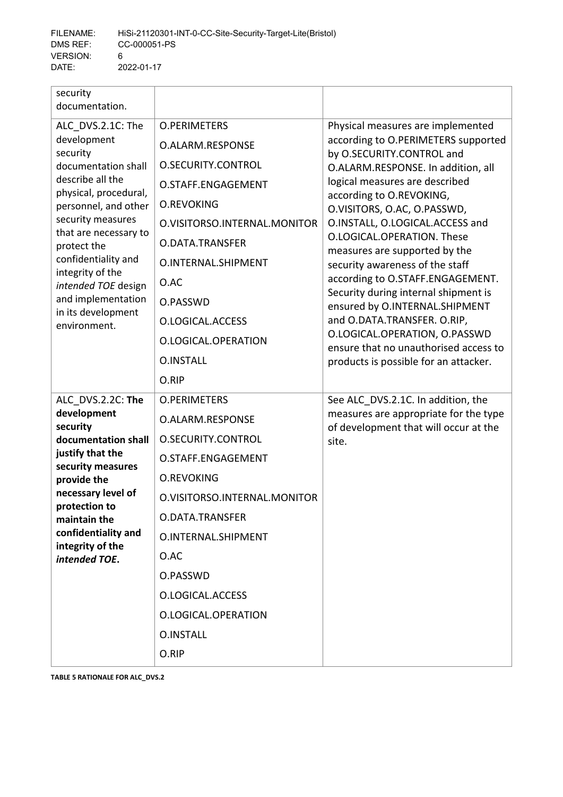| security<br>documentation.                                                                                      |                              |                                                                                                                                                                                                                                                                                                                                          |
|-----------------------------------------------------------------------------------------------------------------|------------------------------|------------------------------------------------------------------------------------------------------------------------------------------------------------------------------------------------------------------------------------------------------------------------------------------------------------------------------------------|
| ALC DVS.2.1C: The<br>development<br>security                                                                    | <b>O.PERIMETERS</b>          | Physical measures are implemented                                                                                                                                                                                                                                                                                                        |
|                                                                                                                 | O.ALARM.RESPONSE             | according to O.PERIMETERS supported<br>by O.SECURITY.CONTROL and<br>O.ALARM.RESPONSE. In addition, all<br>logical measures are described<br>according to O.REVOKING,<br>O.VISITORS, O.AC, O.PASSWD,<br>O.INSTALL, O.LOGICAL.ACCESS and<br>O.LOGICAL.OPERATION. These<br>measures are supported by the<br>security awareness of the staff |
| documentation shall                                                                                             | O.SECURITY.CONTROL           |                                                                                                                                                                                                                                                                                                                                          |
| describe all the<br>physical, procedural,                                                                       | O.STAFF.ENGAGEMENT           |                                                                                                                                                                                                                                                                                                                                          |
| personnel, and other                                                                                            | <b>O.REVOKING</b>            |                                                                                                                                                                                                                                                                                                                                          |
| security measures<br>that are necessary to                                                                      | O.VISITORSO.INTERNAL.MONITOR |                                                                                                                                                                                                                                                                                                                                          |
| protect the                                                                                                     | O.DATA.TRANSFER              |                                                                                                                                                                                                                                                                                                                                          |
| confidentiality and<br>integrity of the                                                                         | O.INTERNAL.SHIPMENT          |                                                                                                                                                                                                                                                                                                                                          |
| intended TOE design                                                                                             | O.AC                         | according to O.STAFF.ENGAGEMENT.                                                                                                                                                                                                                                                                                                         |
| and implementation<br>in its development                                                                        | O.PASSWD                     | Security during internal shipment is<br>ensured by O.INTERNAL.SHIPMENT                                                                                                                                                                                                                                                                   |
| environment.                                                                                                    | O.LOGICAL.ACCESS             | and O.DATA.TRANSFER. O.RIP,<br>O.LOGICAL.OPERATION, O.PASSWD<br>ensure that no unauthorised access to<br>products is possible for an attacker.                                                                                                                                                                                           |
|                                                                                                                 | O.LOGICAL.OPERATION          |                                                                                                                                                                                                                                                                                                                                          |
|                                                                                                                 | <b>O.INSTALL</b>             |                                                                                                                                                                                                                                                                                                                                          |
|                                                                                                                 | O.RIP                        |                                                                                                                                                                                                                                                                                                                                          |
| ALC DVS.2.2C: The                                                                                               | <b>O.PERIMETERS</b>          | See ALC_DVS.2.1C. In addition, the                                                                                                                                                                                                                                                                                                       |
| development<br>security                                                                                         | O.ALARM.RESPONSE             | measures are appropriate for the type<br>of development that will occur at the                                                                                                                                                                                                                                                           |
| documentation shall                                                                                             | O.SECURITY.CONTROL           | site.                                                                                                                                                                                                                                                                                                                                    |
| justify that the<br>security measures                                                                           | O.STAFF.ENGAGEMENT           |                                                                                                                                                                                                                                                                                                                                          |
| provide the                                                                                                     | <b>O.REVOKING</b>            |                                                                                                                                                                                                                                                                                                                                          |
| necessary level of<br>protection to<br>maintain the<br>confidentiality and<br>integrity of the<br>intended TOE. | O.VISITORSO.INTERNAL.MONITOR |                                                                                                                                                                                                                                                                                                                                          |
|                                                                                                                 | O.DATA.TRANSFER              |                                                                                                                                                                                                                                                                                                                                          |
|                                                                                                                 | O.INTERNAL.SHIPMENT          |                                                                                                                                                                                                                                                                                                                                          |
|                                                                                                                 | O.AC                         |                                                                                                                                                                                                                                                                                                                                          |
|                                                                                                                 | O.PASSWD                     |                                                                                                                                                                                                                                                                                                                                          |
|                                                                                                                 | O.LOGICAL.ACCESS             |                                                                                                                                                                                                                                                                                                                                          |
|                                                                                                                 | O.LOGICAL.OPERATION          |                                                                                                                                                                                                                                                                                                                                          |
|                                                                                                                 | <b>O.INSTALL</b>             |                                                                                                                                                                                                                                                                                                                                          |
|                                                                                                                 | O.RIP                        |                                                                                                                                                                                                                                                                                                                                          |

**TABLE 5 RATIONALE FOR ALC\_DVS.2**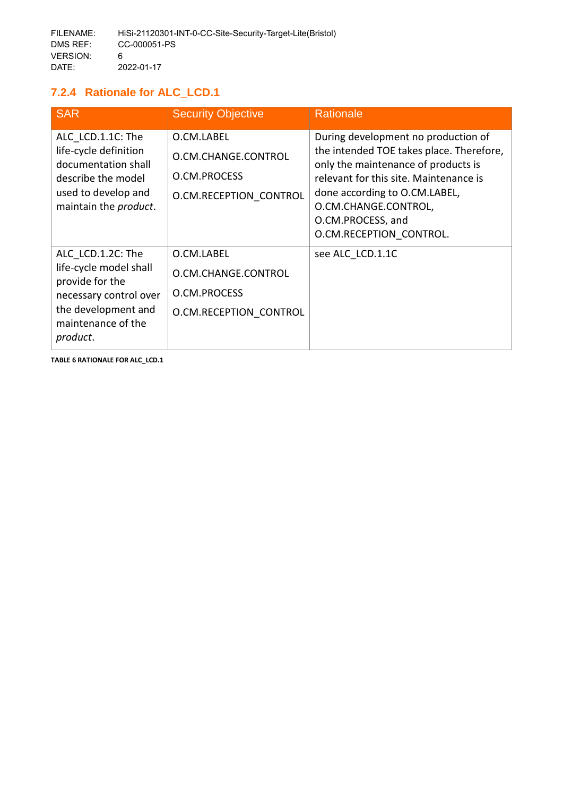# <span id="page-27-0"></span>**7.2.4 Rationale for ALC\_LCD.1**

| <b>SAR</b>                                                                                                                                        | <b>Security Objective</b>                                                   | Rationale                                                                                                                                                                                                                                                                 |
|---------------------------------------------------------------------------------------------------------------------------------------------------|-----------------------------------------------------------------------------|---------------------------------------------------------------------------------------------------------------------------------------------------------------------------------------------------------------------------------------------------------------------------|
| ALC LCD.1.1C: The<br>life-cycle definition<br>documentation shall<br>describe the model<br>used to develop and<br>maintain the product.           | O.CM.LABEL<br>O.CM.CHANGE.CONTROL<br>O.CM.PROCESS<br>O.CM.RECEPTION CONTROL | During development no production of<br>the intended TOE takes place. Therefore,<br>only the maintenance of products is<br>relevant for this site. Maintenance is<br>done according to O.CM.LABEL,<br>O.CM.CHANGE.CONTROL,<br>O.CM.PROCESS, and<br>O.CM.RECEPTION CONTROL. |
| ALC LCD.1.2C: The<br>life-cycle model shall<br>provide for the<br>necessary control over<br>the development and<br>maintenance of the<br>product. | O.CM.LABEL<br>O.CM.CHANGE.CONTROL<br>O.CM.PROCESS<br>O.CM.RECEPTION CONTROL | see ALC LCD.1.1C                                                                                                                                                                                                                                                          |

**TABLE 6 RATIONALE FOR ALC\_LCD.1**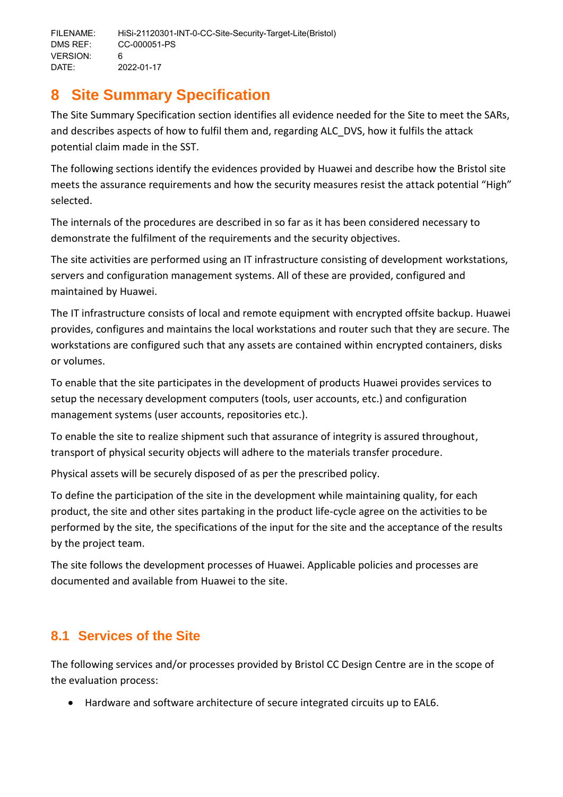# <span id="page-28-0"></span>**8 Site Summary Specification**

The Site Summary Specification section identifies all evidence needed for the Site to meet the SARs, and describes aspects of how to fulfil them and, regarding ALC\_DVS, how it fulfils the attack potential claim made in the SST.

The following sections identify the evidences provided by Huawei and describe how the Bristol site meets the assurance requirements and how the security measures resist the attack potential "High" selected.

The internals of the procedures are described in so far as it has been considered necessary to demonstrate the fulfilment of the requirements and the security objectives.

The site activities are performed using an IT infrastructure consisting of development workstations, servers and configuration management systems. All of these are provided, configured and maintained by Huawei.

The IT infrastructure consists of local and remote equipment with encrypted offsite backup. Huawei provides, configures and maintains the local workstations and router such that they are secure. The workstations are configured such that any assets are contained within encrypted containers, disks or volumes.

To enable that the site participates in the development of products Huawei provides services to setup the necessary development computers (tools, user accounts, etc.) and configuration management systems (user accounts, repositories etc.).

To enable the site to realize shipment such that assurance of integrity is assured throughout, transport of physical security objects will adhere to the materials transfer procedure.

Physical assets will be securely disposed of as per the prescribed policy.

To define the participation of the site in the development while maintaining quality, for each product, the site and other sites partaking in the product life-cycle agree on the activities to be performed by the site, the specifications of the input for the site and the acceptance of the results by the project team.

The site follows the development processes of Huawei. Applicable policies and processes are documented and available from Huawei to the site.

# <span id="page-28-1"></span>**8.1 Services of the Site**

The following services and/or processes provided by Bristol CC Design Centre are in the scope of the evaluation process:

Hardware and software architecture of secure integrated circuits up to EAL6.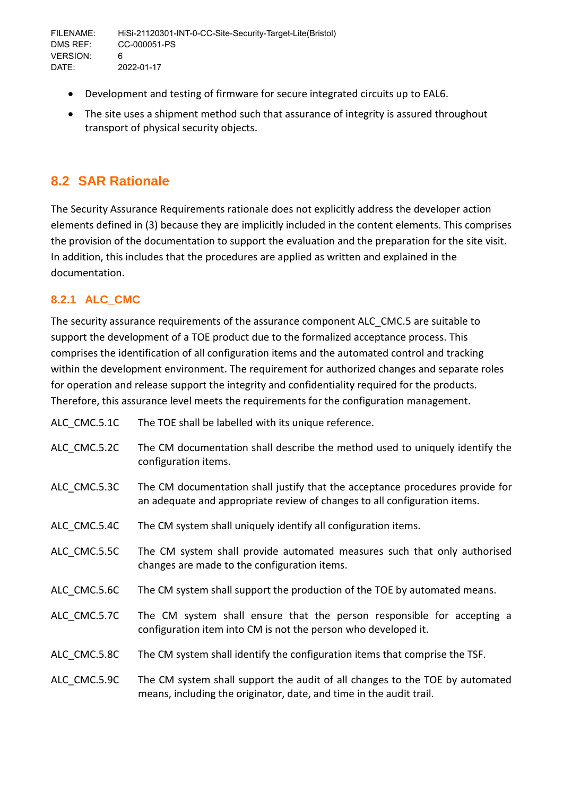- Development and testing of firmware for secure integrated circuits up to EAL6.
- The site uses a shipment method such that assurance of integrity is assured throughout transport of physical security objects.

# <span id="page-29-0"></span>**8.2 SAR Rationale**

The Security Assurance Requirements rationale does not explicitly address the developer action elements defined in (3) because they are implicitly included in the content elements. This comprises the provision of the documentation to support the evaluation and the preparation for the site visit. In addition, this includes that the procedures are applied as written and explained in the documentation.

# <span id="page-29-1"></span>**8.2.1 ALC\_CMC**

The security assurance requirements of the assurance component ALC\_CMC.5 are suitable to support the development of a TOE product due to the formalized acceptance process. This comprises the identification of all configuration items and the automated control and tracking within the development environment. The requirement for authorized changes and separate roles for operation and release support the integrity and confidentiality required for the products. Therefore, this assurance level meets the requirements for the configuration management.

| ALC CMC.5.1C | The TOE shall be labelled with its unique reference.                                                                                                       |
|--------------|------------------------------------------------------------------------------------------------------------------------------------------------------------|
| ALC CMC.5.2C | The CM documentation shall describe the method used to uniquely identify the<br>configuration items.                                                       |
| ALC CMC.5.3C | The CM documentation shall justify that the acceptance procedures provide for<br>an adequate and appropriate review of changes to all configuration items. |
| ALC CMC.5.4C | The CM system shall uniquely identify all configuration items.                                                                                             |
| ALC CMC.5.5C | The CM system shall provide automated measures such that only authorised<br>changes are made to the configuration items.                                   |
| ALC CMC.5.6C | The CM system shall support the production of the TOE by automated means.                                                                                  |
| ALC CMC.5.7C | The CM system shall ensure that the person responsible for accepting a<br>configuration item into CM is not the person who developed it.                   |
| ALC CMC.5.8C | The CM system shall identify the configuration items that comprise the TSF.                                                                                |
| ALC CMC.5.9C | The CM system shall support the audit of all changes to the TOE by automated<br>means, including the originator, date, and time in the audit trail.        |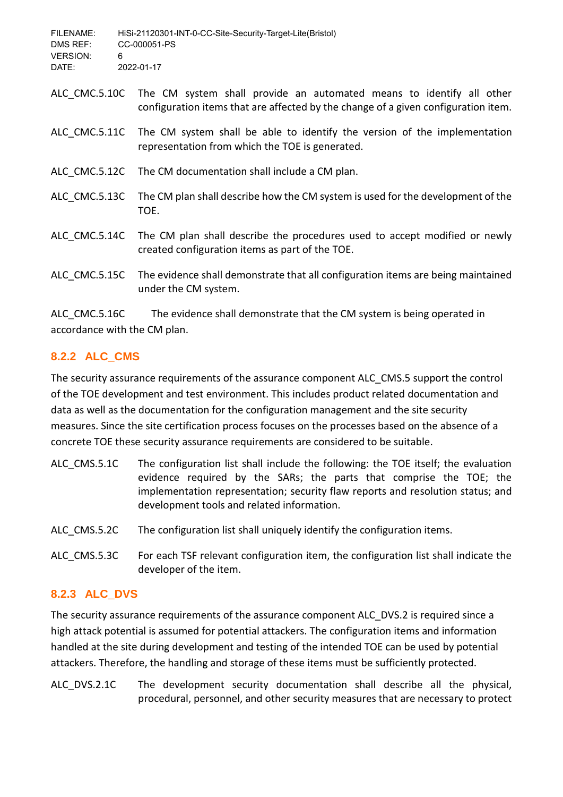| FILENAME:       | HiSi-21120301-INT-0-CC-Site-Security-Target-Lite(Bristol) |
|-----------------|-----------------------------------------------------------|
| DMS REF:        | CC-000051-PS                                              |
| <b>VERSION:</b> |                                                           |
| DATE:           | 2022-01-17                                                |

- ALC CMC.5.10C The CM system shall provide an automated means to identify all other configuration items that are affected by the change of a given configuration item.
- ALC\_CMC.5.11C The CM system shall be able to identify the version of the implementation representation from which the TOE is generated.
- ALC CMC.5.12C The CM documentation shall include a CM plan.
- ALC CMC.5.13C The CM plan shall describe how the CM system is used for the development of the TOE.
- ALC\_CMC.5.14C The CM plan shall describe the procedures used to accept modified or newly created configuration items as part of the TOE.
- ALC CMC.5.15C The evidence shall demonstrate that all configuration items are being maintained under the CM system.

ALC CMC.5.16C The evidence shall demonstrate that the CM system is being operated in accordance with the CM plan.

# <span id="page-30-0"></span>**8.2.2 ALC\_CMS**

The security assurance requirements of the assurance component ALC\_CMS.5 support the control of the TOE development and test environment. This includes product related documentation and data as well as the documentation for the configuration management and the site security measures. Since the site certification process focuses on the processes based on the absence of a concrete TOE these security assurance requirements are considered to be suitable.

- ALC CMS.5.1C The configuration list shall include the following: the TOE itself; the evaluation evidence required by the SARs; the parts that comprise the TOE; the implementation representation; security flaw reports and resolution status; and development tools and related information.
- ALC CMS.5.2C The configuration list shall uniquely identify the configuration items.
- ALC CMS.5.3C For each TSF relevant configuration item, the configuration list shall indicate the developer of the item.

# <span id="page-30-1"></span>**8.2.3 ALC\_DVS**

The security assurance requirements of the assurance component ALC\_DVS.2 is required since a high attack potential is assumed for potential attackers. The configuration items and information handled at the site during development and testing of the intended TOE can be used by potential attackers. Therefore, the handling and storage of these items must be sufficiently protected.

ALC\_DVS.2.1C The development security documentation shall describe all the physical, procedural, personnel, and other security measures that are necessary to protect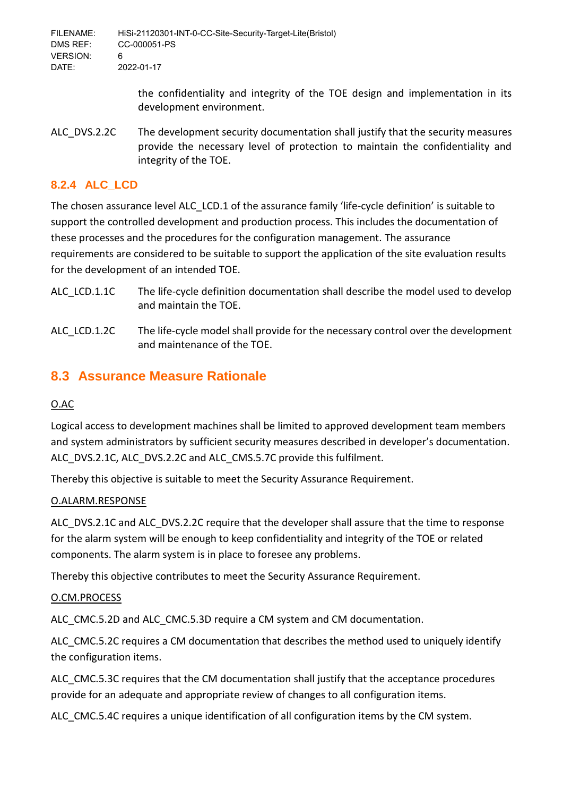> the confidentiality and integrity of the TOE design and implementation in its development environment.

ALC\_DVS.2.2C The development security documentation shall justify that the security measures provide the necessary level of protection to maintain the confidentiality and integrity of the TOE.

# <span id="page-31-0"></span>**8.2.4 ALC\_LCD**

The chosen assurance level ALC\_LCD.1 of the assurance family 'life-cycle definition' is suitable to support the controlled development and production process. This includes the documentation of these processes and the procedures for the configuration management. The assurance requirements are considered to be suitable to support the application of the site evaluation results for the development of an intended TOE.

- ALC LCD.1.1C The life-cycle definition documentation shall describe the model used to develop and maintain the TOE.
- ALC LCD.1.2C The life-cycle model shall provide for the necessary control over the development and maintenance of the TOE.

# <span id="page-31-1"></span>**8.3 Assurance Measure Rationale**

# O.AC

Logical access to development machines shall be limited to approved development team members and system administrators by sufficient security measures described in developer's documentation. ALC\_DVS.2.1C, ALC\_DVS.2.2C and ALC\_CMS.5.7C provide this fulfilment.

Thereby this objective is suitable to meet the Security Assurance Requirement.

# O.ALARM.RESPONSE

ALC\_DVS.2.1C and ALC\_DVS.2.2C require that the developer shall assure that the time to response for the alarm system will be enough to keep confidentiality and integrity of the TOE or related components. The alarm system is in place to foresee any problems.

Thereby this objective contributes to meet the Security Assurance Requirement.

### O.CM.PROCESS

ALC CMC.5.2D and ALC CMC.5.3D require a CM system and CM documentation.

ALC CMC.5.2C requires a CM documentation that describes the method used to uniquely identify the configuration items.

ALC CMC.5.3C requires that the CM documentation shall justify that the acceptance procedures provide for an adequate and appropriate review of changes to all configuration items.

ALC\_CMC.5.4C requires a unique identification of all configuration items by the CM system.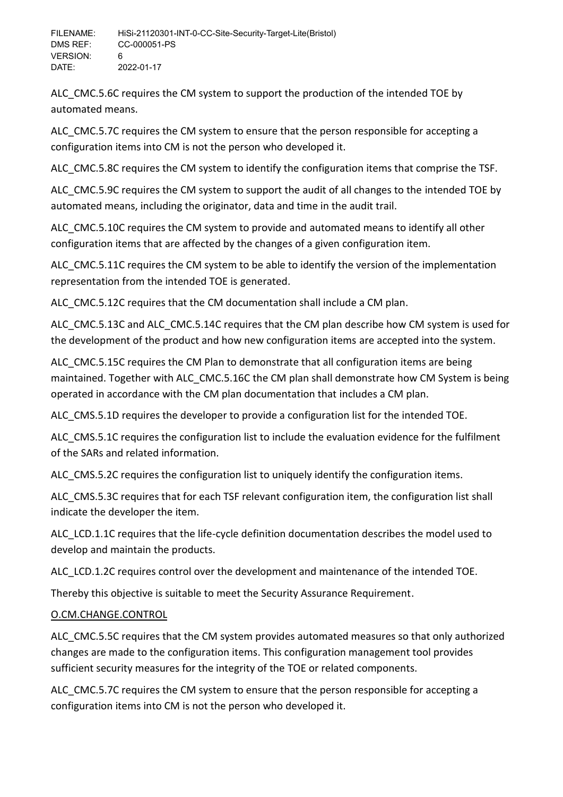ALC\_CMC.5.6C requires the CM system to support the production of the intended TOE by automated means.

ALC CMC.5.7C requires the CM system to ensure that the person responsible for accepting a configuration items into CM is not the person who developed it.

ALC CMC.5.8C requires the CM system to identify the configuration items that comprise the TSF.

ALC\_CMC.5.9C requires the CM system to support the audit of all changes to the intended TOE by automated means, including the originator, data and time in the audit trail.

ALC CMC.5.10C requires the CM system to provide and automated means to identify all other configuration items that are affected by the changes of a given configuration item.

ALC CMC.5.11C requires the CM system to be able to identify the version of the implementation representation from the intended TOE is generated.

ALC\_CMC.5.12C requires that the CM documentation shall include a CM plan.

ALC CMC.5.13C and ALC CMC.5.14C requires that the CM plan describe how CM system is used for the development of the product and how new configuration items are accepted into the system.

ALC CMC.5.15C requires the CM Plan to demonstrate that all configuration items are being maintained. Together with ALC CMC.5.16C the CM plan shall demonstrate how CM System is being operated in accordance with the CM plan documentation that includes a CM plan.

ALC\_CMS.5.1D requires the developer to provide a configuration list for the intended TOE.

ALC CMS.5.1C requires the configuration list to include the evaluation evidence for the fulfilment of the SARs and related information.

ALC CMS.5.2C requires the configuration list to uniquely identify the configuration items.

ALC CMS.5.3C requires that for each TSF relevant configuration item, the configuration list shall indicate the developer the item.

ALC LCD.1.1C requires that the life-cycle definition documentation describes the model used to develop and maintain the products.

ALC\_LCD.1.2C requires control over the development and maintenance of the intended TOE.

Thereby this objective is suitable to meet the Security Assurance Requirement.

# O.CM.CHANGE.CONTROL

ALC CMC.5.5C requires that the CM system provides automated measures so that only authorized changes are made to the configuration items. This configuration management tool provides sufficient security measures for the integrity of the TOE or related components.

ALC CMC.5.7C requires the CM system to ensure that the person responsible for accepting a configuration items into CM is not the person who developed it.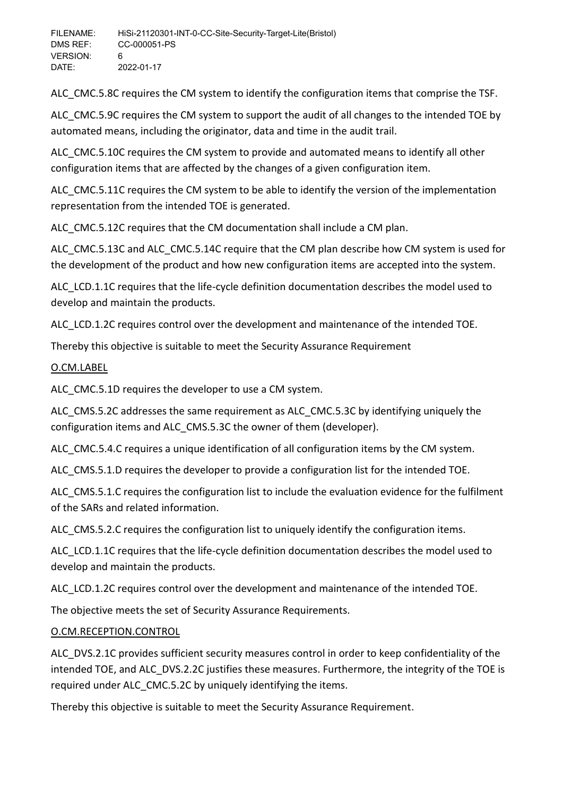ALC CMC.5.8C requires the CM system to identify the configuration items that comprise the TSF.

ALC CMC.5.9C requires the CM system to support the audit of all changes to the intended TOE by automated means, including the originator, data and time in the audit trail.

ALC CMC.5.10C requires the CM system to provide and automated means to identify all other configuration items that are affected by the changes of a given configuration item.

ALC CMC.5.11C requires the CM system to be able to identify the version of the implementation representation from the intended TOE is generated.

ALC\_CMC.5.12C requires that the CM documentation shall include a CM plan.

ALC CMC.5.13C and ALC CMC.5.14C require that the CM plan describe how CM system is used for the development of the product and how new configuration items are accepted into the system.

ALC\_LCD.1.1C requires that the life-cycle definition documentation describes the model used to develop and maintain the products.

ALC\_LCD.1.2C requires control over the development and maintenance of the intended TOE.

Thereby this objective is suitable to meet the Security Assurance Requirement

# O.CM.LABEL

ALC CMC.5.1D requires the developer to use a CM system.

ALC\_CMS.5.2C addresses the same requirement as ALC\_CMC.5.3C by identifying uniquely the configuration items and ALC\_CMS.5.3C the owner of them (developer).

ALC CMC.5.4.C requires a unique identification of all configuration items by the CM system.

ALC\_CMS.5.1.D requires the developer to provide a configuration list for the intended TOE.

ALC CMS.5.1.C requires the configuration list to include the evaluation evidence for the fulfilment of the SARs and related information.

ALC CMS.5.2.C requires the configuration list to uniquely identify the configuration items.

ALC\_LCD.1.1C requires that the life-cycle definition documentation describes the model used to develop and maintain the products.

ALC LCD.1.2C requires control over the development and maintenance of the intended TOE.

The objective meets the set of Security Assurance Requirements.

# O.CM.RECEPTION.CONTROL

ALC\_DVS.2.1C provides sufficient security measures control in order to keep confidentiality of the intended TOE, and ALC DVS.2.2C justifies these measures. Furthermore, the integrity of the TOE is required under ALC\_CMC.5.2C by uniquely identifying the items.

Thereby this objective is suitable to meet the Security Assurance Requirement.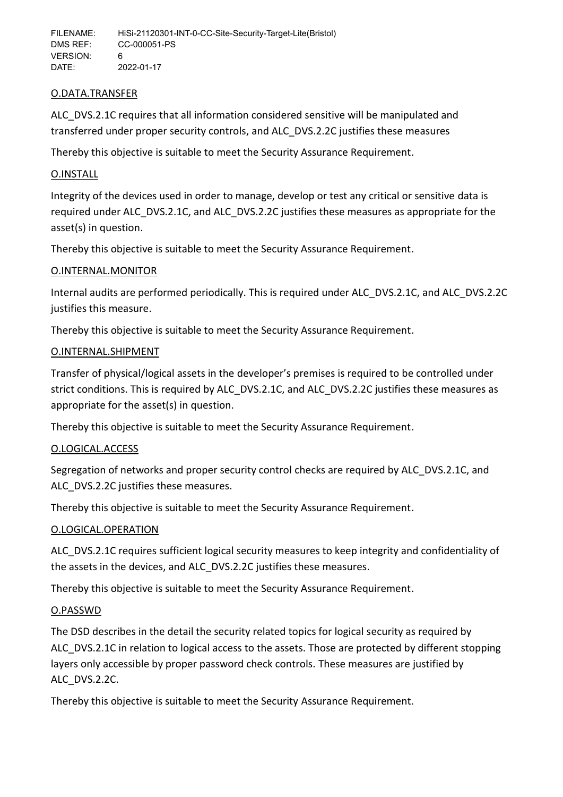### O.DATA.TRANSFER

ALC DVS.2.1C requires that all information considered sensitive will be manipulated and transferred under proper security controls, and ALC\_DVS.2.2C justifies these measures

Thereby this objective is suitable to meet the Security Assurance Requirement.

# O.INSTALL

Integrity of the devices used in order to manage, develop or test any critical or sensitive data is required under ALC\_DVS.2.1C, and ALC\_DVS.2.2C justifies these measures as appropriate for the asset(s) in question.

Thereby this objective is suitable to meet the Security Assurance Requirement.

### O.INTERNAL.MONITOR

Internal audits are performed periodically. This is required under ALC\_DVS.2.1C, and ALC\_DVS.2.2C justifies this measure.

Thereby this objective is suitable to meet the Security Assurance Requirement.

### O.INTERNAL.SHIPMENT

Transfer of physical/logical assets in the developer's premises is required to be controlled under strict conditions. This is required by ALC\_DVS.2.1C, and ALC\_DVS.2.2C justifies these measures as appropriate for the asset(s) in question.

Thereby this objective is suitable to meet the Security Assurance Requirement.

### O.LOGICAL.ACCESS

Segregation of networks and proper security control checks are required by ALC\_DVS.2.1C, and ALC DVS.2.2C justifies these measures.

Thereby this objective is suitable to meet the Security Assurance Requirement.

### O.LOGICAL.OPERATION

ALC\_DVS.2.1C requires sufficient logical security measures to keep integrity and confidentiality of the assets in the devices, and ALC\_DVS.2.2C justifies these measures.

Thereby this objective is suitable to meet the Security Assurance Requirement.

### O.PASSWD

The DSD describes in the detail the security related topics for logical security as required by ALC\_DVS.2.1C in relation to logical access to the assets. Those are protected by different stopping layers only accessible by proper password check controls. These measures are justified by ALC\_DVS.2.2C.

Thereby this objective is suitable to meet the Security Assurance Requirement.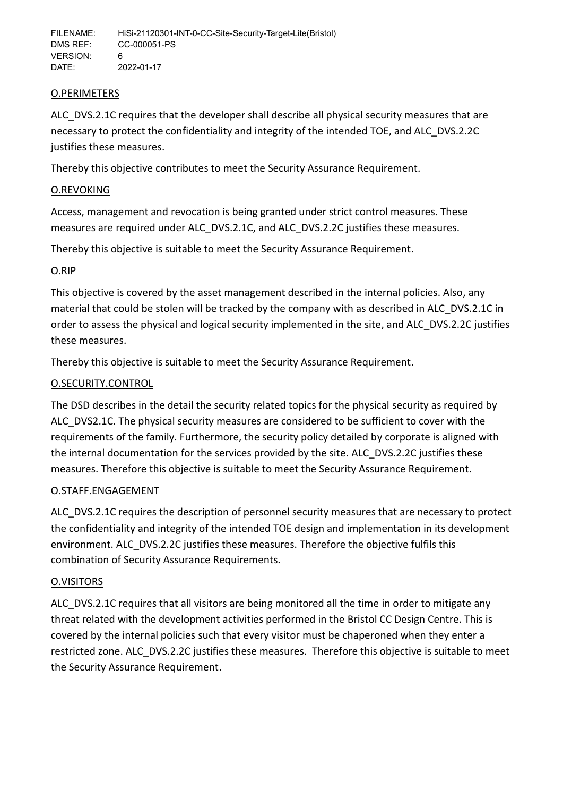### O.PERIMETERS

ALC DVS.2.1C requires that the developer shall describe all physical security measures that are necessary to protect the confidentiality and integrity of the intended TOE, and ALC\_DVS.2.2C justifies these measures.

Thereby this objective contributes to meet the Security Assurance Requirement.

### O.REVOKING

Access, management and revocation is being granted under strict control measures. These measures are required under ALC\_DVS.2.1C, and ALC\_DVS.2.2C justifies these measures.

Thereby this objective is suitable to meet the Security Assurance Requirement.

# O.RIP

This objective is covered by the asset management described in the internal policies. Also, any material that could be stolen will be tracked by the company with as described in ALC\_DVS.2.1C in order to assess the physical and logical security implemented in the site, and ALC\_DVS.2.2C justifies these measures.

Thereby this objective is suitable to meet the Security Assurance Requirement.

# O.SECURITY.CONTROL

The DSD describes in the detail the security related topics for the physical security as required by ALC\_DVS2.1C. The physical security measures are considered to be sufficient to cover with the requirements of the family. Furthermore, the security policy detailed by corporate is aligned with the internal documentation for the services provided by the site. ALC\_DVS.2.2C justifies these measures. Therefore this objective is suitable to meet the Security Assurance Requirement.

### O.STAFF.ENGAGEMENT

ALC DVS.2.1C requires the description of personnel security measures that are necessary to protect the confidentiality and integrity of the intended TOE design and implementation in its development environment. ALC\_DVS.2.2C justifies these measures. Therefore the objective fulfils this combination of Security Assurance Requirements.

### O.VISITORS

ALC DVS.2.1C requires that all visitors are being monitored all the time in order to mitigate any threat related with the development activities performed in the Bristol CC Design Centre. This is covered by the internal policies such that every visitor must be chaperoned when they enter a restricted zone. ALC\_DVS.2.2C justifies these measures. Therefore this objective is suitable to meet the Security Assurance Requirement.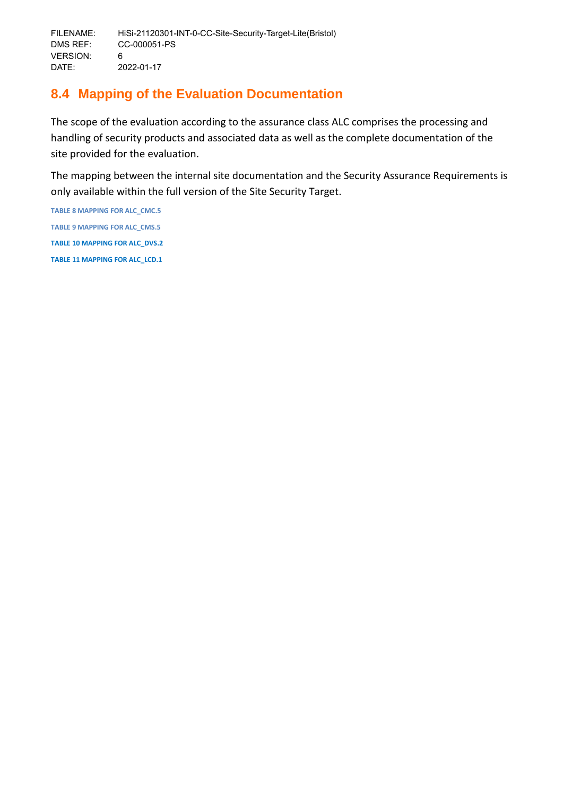# <span id="page-36-0"></span>**8.4 Mapping of the Evaluation Documentation**

The scope of the evaluation according to the assurance class ALC comprises the processing and handling of security products and associated data as well as the complete documentation of the site provided for the evaluation.

The mapping between the internal site documentation and the Security Assurance Requirements is only available within the full version of the Site Security Target.

**TABLE 8 MAPPING FOR ALC\_CMC.5 TABLE 9 MAPPING FOR ALC\_CMS.5 TABLE 10 MAPPING FOR ALC\_DVS.2 TABLE 11 MAPPING FOR ALC\_LCD.1**